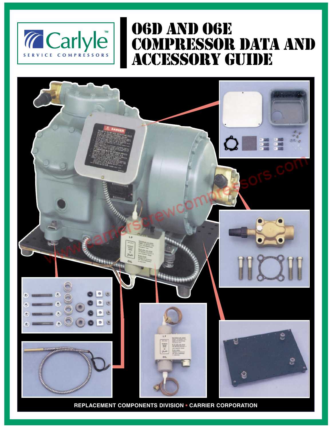

## O6D AND O6E COMPRESSOR DATA AND ACCESSORY GUIDE



**REPLACEMENT COMPONENTS DIVISION • CARRIER CORPORATION**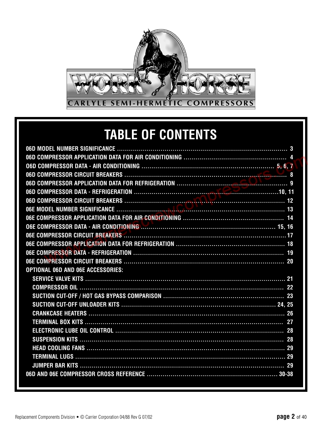

# **TABLE OF CONTENTS**

| <b>OPTIONAL O6D AND O6E ACCESSORIES:</b> |
|------------------------------------------|
|                                          |
|                                          |
|                                          |
|                                          |
|                                          |
|                                          |
|                                          |
|                                          |
|                                          |
|                                          |
|                                          |
|                                          |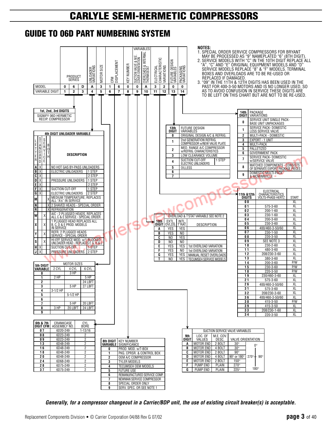### **GUIDE TO 06D PART NUMBERING SYSTEM**



*Generally, for a compressor changeout in a Carrier/BDP unit, the use of existing circuit breaker(s) is acceptable.*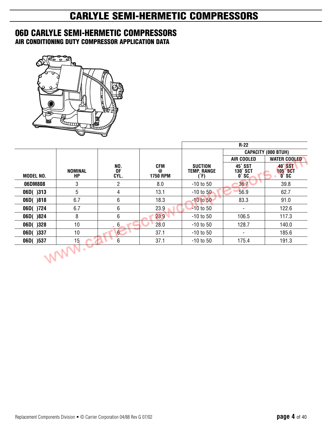### **06D CARLYLE SEMI-HERMETIC COMPRESSORS**

**AIR CONDITIONING DUTY COMPRESSOR APPLICATION DATA**



|           |                 |                   |                                    |                                             | $R-22$                              |                                           |
|-----------|-----------------|-------------------|------------------------------------|---------------------------------------------|-------------------------------------|-------------------------------------------|
|           |                 |                   |                                    |                                             |                                     | <b>CAPACITY (000 BTUH)</b>                |
|           |                 |                   |                                    |                                             | AIR COOLED                          | <b>WATER COOLED</b>                       |
| MODEL NO. | NOMINAL<br>HP   | NO.<br>0F<br>CYL. | <b>CFM</b><br>@<br><b>1750 RPM</b> | <b>SUCTION</b><br><b>TEMP. RANGE</b><br>(ド) | 45° SST<br>130° SCT<br>$0^\circ$ SC | 40° SST<br><b>105° SCT</b><br><b>O°SC</b> |
| 06DM808   | 3               | $\overline{2}$    | 8.0                                | $-10$ to 50                                 | 36.7                                | 39.8                                      |
| 06D()313  | 5               | 4                 | 13.1                               | $-10$ to $50$                               | 56.9                                | 62.7                                      |
| 06D()818  | 6.7             | 6                 | 18.3                               | $-10$ to 50                                 | 83.3                                | 91.0                                      |
| 06D()724  | 6.7             | 6                 | 23.9                               | $-10$ to 50                                 |                                     | 122.6                                     |
| 06D()824  | 8               | 6                 | 23.9                               | $-10$ to 50                                 | 106.5                               | 117.3                                     |
| 06D()328  | 10              | 6                 | 28.0                               | $-10$ to 50                                 | 128.7                               | 140.0                                     |
| 06D()337  | 10              | $6 \overline{6}$  | 37.1                               | $-10$ to 50                                 | $\sim$                              | 185.6                                     |
| 06D()537  | 15 <sub>1</sub> | 6                 | 37.1                               | $-10$ to 50                                 | 175.4                               | 191.3                                     |
|           |                 |                   |                                    |                                             |                                     |                                           |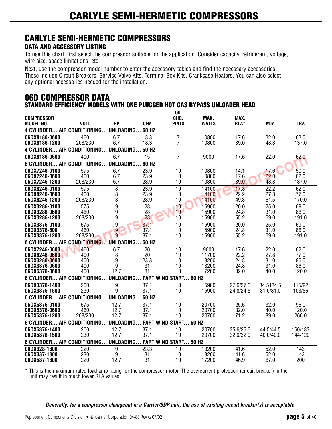#### **DATA AND ACCESSORY LISTING**

To use this chart, first select the compressor suitable for the application. Consider capacity, refrigerant, voltage, wire size, space limitations, etc.

Next, use the compressor model number to enter the accessory tables and find the necessary accessories. These include Circuit Breakers, Service Valve Kits, Terminal Box Kits, Crankcase Heaters. You can also select any optional accessories needed for the installation.

#### **06D COMPRESSOR DATA STANDARD EFFICIENCY MODELS WITH ONE PLUGGED HOT GAS BYPASS UNLOADER HEAD**

|                                |                                             |                        |              | <b>OIL</b>                   |                |              |              |               |
|--------------------------------|---------------------------------------------|------------------------|--------------|------------------------------|----------------|--------------|--------------|---------------|
| <b>COMPRESSOR</b>              |                                             |                        |              | CHG.                         | MAX.           | MAX.         |              |               |
| MODEL NO.                      | <b>VOLT</b>                                 | <b>HP</b>              | <b>CFM</b>   | <b>PINTS</b>                 | <b>WATTS</b>   | <b>RLA*</b>  | <b>MTA</b>   | <b>LRA</b>    |
| <b>4 CYLINDER.</b>             | AIR CONDITIONING                            | UNLOADING              | 60 HZ        |                              |                |              |              |               |
| 06DX8186-0600                  | 460                                         | 6.7                    | 18.3         | $\overline{7}$               | 10800          | 17.6         | 22.0         | 62.0          |
| 06DX8186-1200                  | 208/230                                     | 6.7                    | 18.3         | $\overline{7}$               | 10800          | 39.0         | 48.8         | 137.0         |
|                                | <b>4 CYLINDER AIR CONDITIONING</b>          | <b>UNLOADING 50 HZ</b> |              |                              |                |              |              |               |
| 06DX8186-0600                  | 400                                         | 6.7                    | 15           | $\overline{7}$               | 9000           | 17.6         | 22.0         | 62.0          |
|                                | 6 CYLINDER AIR CONDITIONING UNLOADING 60 HZ |                        |              |                              |                |              |              |               |
| 06DX7246-0100                  | 575                                         | 6.7                    | 23.9         | 10                           | 10800          | 14.1         | 17.6         | 50.0          |
| 06DX7246-0600                  | 460                                         | 6.7                    | 23.9         | 10                           | 10800          | 17.6         | 22.0         | 62.0          |
| 06DX7246-1200                  | 208/230                                     | 6.7                    | 23.9         | 10                           | 10800          | 39.0         | 48.8         | 137.0         |
| 06DX8246-0100                  | 575                                         | 8                      | 23.9         | 10                           | 14100          | 17.8         | 22.2         | 62.0          |
| 06DX8246-0600                  | 460                                         | 8                      | 23.9         | 10                           | 14100          | 22.2         | 27.8         | 77.0          |
| 06DX8246-1200                  | 208/230                                     | 8                      | 23.9         | 10                           | 14100          | 49.3         | 61.5         | 170.0         |
| 06DX3286-0100                  | 575                                         | $\overline{9}$         | 28           | 10                           | 15900          | 20.0         | 25.0         | 69.0          |
| 06DX3286-0600                  | 460                                         | 9                      | 28           | 10                           | 15900          | 24.8         | 31.0         | 86.0          |
| 06DX3286-1200                  | 208/230                                     | 9                      | 28           | 10                           | 15900          | 55.2         | 69.0         | 191.0         |
| 06DX3376-0100                  | 575                                         | 9                      | 37.1         | 10                           | 15900          | 20.0         | 25.0         | 69.0          |
| 06DX3376-600<br>06DX3376-1200  | 460<br>208/230                              | 9<br>9                 | 37.1<br>37.1 | 10<br>10                     | 15900<br>15900 | 24.8<br>55.2 | 31.0<br>69.0 | 86.0<br>191.0 |
|                                |                                             |                        |              |                              |                |              |              |               |
|                                | 6 CYLINDER AIR CONDITIONING                 | UNLOADING              | <b>50 HZ</b> |                              |                |              |              |               |
| 06DX7246-0600                  | 400                                         | 6.7                    | 20           | 10                           | 9000           | 17.6         | 22.0         | 62.0          |
| 06DX8246-0600<br>06DX3286-0600 | 400<br>400                                  | 8<br>9                 | 20<br>23.3   | 10<br>10                     | 11700<br>13200 | 22.2<br>24.8 | 27.8<br>31.0 | 77.0          |
| 06DX3376-0600                  | 400                                         | 9                      | 31           | 10                           | 13200          | 24.8         | 31.0         | 86.0<br>86.0  |
| 06DX5376-0600                  | 400                                         | 12.7                   | 31           | 10                           | 17200          | 32.0         | 40.0         | 120.0         |
|                                | 6 CYLINDER AIR CONDITIONING                 | UNLOADING              |              | <b>PART WIND START 60 HZ</b> |                |              |              |               |
| 06DX3376-1400                  | 200                                         | 9                      | 37.1         | 10                           | 15900          | 27.6/27.6    | 34.5134.5    | 115/92        |
| 06DX3376-1500                  | 230                                         | 9                      | 37.1         | 10                           | 15900          | 24.8/24.8    | 31.0/31.0    | 103/86        |
|                                | 6 CYLINDER AIR CONDITIONING                 | UNLOADING              | 60 HZ        |                              |                |              |              |               |
| 06DX5376-0100                  | 575                                         | 12.7                   | 37.1         | 10                           | 20700          | 25.6         | 32.0         | 96.0          |
| 06DX5376-0600                  | 460                                         | 12.7                   | 37.1         | 10                           | 20700          | 32.0         | 40.0         | 120.0         |
| 06DX5376-1200                  | 208/230                                     | 12.7                   | 37.1         | 10                           | 20700          | 71.2         | 89.0         | 266.0         |
|                                | 6 CYLINDER AIR CONDITIONING                 | UNLOADING              |              | <b>PART WIND START 60 HZ</b> |                |              |              |               |
| 06DX5376-1400                  | 200                                         | 12.7                   | 37.1         | 10                           | 20700          | 35.6/35.6    | 44.5/44.5    | 160/133       |
| 06DX5376-1500                  | 230                                         | 12.7                   | 37.1         | 10                           | 20700          | 32.0/32.0    | 40.0/40.0    | 144/120       |
|                                | 6 CYLINDER AIR CONDITIONING                 | UNLOADING.             |              | <b>PART WIND START 50 HZ</b> |                |              |              |               |
| 06DX328-1800                   | 220                                         | 9                      | 23.3         | 10                           | 13200          | 41.6         | 52.0         | 143           |
| 06DX337-1800                   | 220                                         | 9                      | 31           | 10                           | 13200          | 41.6         | 52.0         | 143           |
| 06DX537-1800                   | 220                                         | 12.7                   | 31           | 10                           | 17200          | 46.9         | 67.0         | 200           |

This is the maximum rated load amp rating for the compressor motor. The overcurrent protection (circuit breaker) in the unit may result in much lower RLA values.

*Generally, for a compressor changeout in a Carrier/BDP unit, the use of existing circuit breaker(s) is acceptable.*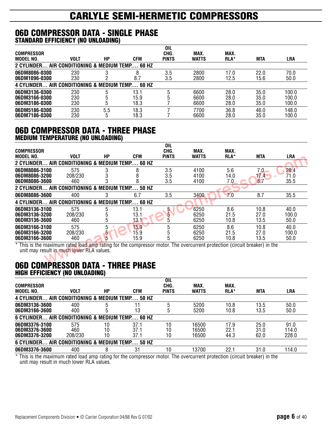#### **06D COMPRESSOR DATA - SINGLE PHASE STANDARD EFFICIENCY (NO UNLOADING)**

|                                                 |                                        |     |            | <b>OIL</b>   |              |            |            |            |
|-------------------------------------------------|----------------------------------------|-----|------------|--------------|--------------|------------|------------|------------|
| <b>COMPRESSOR</b>                               |                                        |     |            | CHG.         | <b>MAX</b>   | <b>MAX</b> |            |            |
| MODEL NO.                                       | <b>VOLT</b>                            | НP  | <b>CFM</b> | <b>PINTS</b> | <b>WATTS</b> | RLA*       | <b>MTA</b> | <b>LRA</b> |
| 2 CYLINDER                                      | . AIR CONDITIONING & MEDIUM TEMP 60 HZ |     |            |              |              |            |            |            |
| 06DM8086-0300                                   | 230                                    |     |            | 3.5          | 2800         | 17.0       | 22.0       | 70.0       |
| 06DM1096-0300                                   | 230                                    |     | 8.7        | 3.5          | 2800         | 12.5       | 15.6       | 50.0       |
| 4 CYLINDER AIR CONDITIONING & MEDIUM TEMP 60 HZ |                                        |     |            |              |              |            |            |            |
| 06DM3136-0300                                   | 230                                    | 5   | 13.1       |              | 6600         | 28.0       | 35.0       | 100.0      |
| 06DM3166-0300                                   | 230                                    |     | 15.9       |              | 6600         | 28.0       | 35.0       | 100.0      |
| 06DM3186-0300                                   | 230                                    | b   | 18.3       |              | 6600         | 28.0       | 35.0       | 100.0      |
| 06DM5186-0300                                   | 230                                    | 5.5 | 18.3       |              | 7700         | 36.8       | 46.0       | 148.0      |
| 06DM7186-0300                                   | 230                                    | 5   | 18.3       |              | 6600         | 28.0       | 35.0       | 100.0      |

#### **06D COMPRESSOR DATA - THREE PHASE MEDIUM TEMPERATURE (NO UNLOADING)**

|                    |             |    |                                      | <b>OIL</b>   |              |      |            |            |
|--------------------|-------------|----|--------------------------------------|--------------|--------------|------|------------|------------|
| <b>COMPRESSOR</b>  |             |    |                                      | CHG.         | MAX.         | MAX. |            |            |
| MODEL NO.          | <b>VOLT</b> | HР | <b>CFM</b>                           | <b>PINTS</b> | <b>WATTS</b> | RLA* | <b>MTA</b> | <b>LRA</b> |
| 2 CYLINDER         |             |    | AIR CONDITIONING & MEDIUM TEMP 60 HZ |              |              |      |            |            |
| 06DM8086-3100      | 575         | 3  |                                      | 3.5          | 4100         | 5.6  | 7.0        | 28.4       |
| 06DM8086-3200      | 208/230     |    |                                      | 3.5          | 4100         | 14.0 | 17.4       | 71.0       |
| 06DM8086-3600      | 460         |    |                                      | 3.5          | 4100         | 7.0  | 8.7        | 35.5       |
| <b>2 CYLINDER.</b> |             |    | AIR CONDITIONING & MEDIUM TEMP 50 HZ |              |              |      |            |            |
| 06DM8086-3600      | 400         | 3  | 6.7                                  | 3.5          | 3400         | 7.0  | 8.7        | 35.5       |
| 4 CYLINDER         |             |    | AIR CONDITIONING & MEDIUM TEMP 60 HZ |              |              |      |            |            |
| 06DM3136-3100      | 575         | 5  | 13.1                                 | 5            | 6250         | 8.6  | 10.8       | 40.0       |
| 06DM3136-3200      | 208/230     |    | 13.1                                 | 5            | 6250         | 21.5 | 27.0       | 100.0      |
| 06DM3136-3600      | 460         | h. | 13.1                                 | 5            | 6250         | 10.8 | 13.5       | 50.0       |
| 06DM3166-3100      | 575         | 5  | 15.9                                 |              | 6250         | 8.6  | 10.8       | 40.0       |
| 06DM3166-3200      | 208/230     | b  | 15.9                                 |              | 6250         | 21.5 | 27.0       | 100.0      |
| 06DM3166-3600      | 460         | 5  | 15.9                                 | b            | 6250         | 10.8 | 13.5       | 50.0       |

\* This is the maximum rated load amp rating for the compressor motor. The overcurrent protection (circuit breaker) in the unit may result in much lower RLA values.

#### **06D COMPRESSOR DATA - THREE PHASE HIGH EFFICIENCY (NO UNLOADING)**

|                                                 |             |    |      | <b>OIL</b>   |              |      |      |            |  |  |  |
|-------------------------------------------------|-------------|----|------|--------------|--------------|------|------|------------|--|--|--|
| <b>COMPRESSOR</b>                               |             |    |      | CHG.         | MAX.         | MAX. |      |            |  |  |  |
| MODEL NO.                                       | <b>VOLT</b> | НP | CFM  | <b>PINTS</b> | <b>WATTS</b> | RLA* | MTA  | <b>LRA</b> |  |  |  |
| 4 CYLINDER AIR CONDITIONING & MEDIUM TEMP 50 HZ |             |    |      |              |              |      |      |            |  |  |  |
| 06DM3136-3600                                   | 400         |    |      |              | 5200         | 10.8 | 13.5 | 50.0       |  |  |  |
| 06DM3166-3600                                   | 400         | h  | 13   |              | 5200         | 10.8 | 13.5 | 50.0       |  |  |  |
| 6 CYLINDER AIR CONDITIONING & MEDIUM TEMP 60 HZ |             |    |      |              |              |      |      |            |  |  |  |
| 06DM3376-3100                                   | 575         | 10 | 37.1 | 10           | 16500        | 17.9 | 25.0 | 91.0       |  |  |  |
| 06DM3376-3600                                   | 460         |    | 37.1 | 10           | 16500        | 22.1 | 31.0 | 114.0      |  |  |  |
| 06DM3376-3200                                   | 208/230     | 10 | 37.1 | 10           | 16500        | 44.3 | 62.0 | 228.0      |  |  |  |
| 6 CYLINDER AIR CONDITIONING & MEDIUM TEMP 50 HZ |             |    |      |              |              |      |      |            |  |  |  |
| 06DM3376-3600                                   | 400         | 8  | 31   | 10           | 13700        | 22.1 | 31.0 | 114.0      |  |  |  |
|                                                 |             |    |      |              |              |      |      |            |  |  |  |

\* This is the maximum rated load amp rating for the compressor motor. The overcurrent protection (circuit breaker) in the unit may result in much lower RLA values.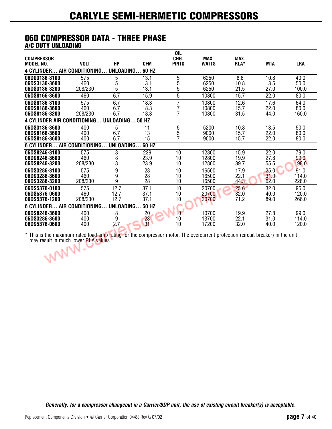#### **06D COMPRESSOR DATA - THREE PHASE A/C DUTY UNLOADING**

|                                     |                   |           |              | <b>OIL</b>   |              |      |            |            |
|-------------------------------------|-------------------|-----------|--------------|--------------|--------------|------|------------|------------|
| <b>COMPRESSOR</b>                   |                   |           |              | CHG.         | MAX.         | MAX. |            |            |
| <b>MODEL NO.</b>                    | <b>VOLT</b>       | <b>HP</b> | <b>CFM</b>   | <b>PINTS</b> | <b>WATTS</b> | RLA* | <b>MTA</b> | <b>LRA</b> |
| <b>4 CYLINDER AIR CONDITIONING</b>  |                   | UNLOADING | 60 HZ        |              |              |      |            |            |
| 06DS3136-3100                       | 575               | 5         | 13.1         | 5            | 6250         | 8.6  | 10.8       | 40.0       |
| 06DS3136-3600                       | 460               | 5         | 13.1         | 5            | 6250         | 10.8 | 13.5       | 50.0       |
| 06DS3136-3200                       | 208/230           | 5         | 13.1         | 5            | 6250         | 21.5 | 27.0       | 100.0      |
| 06DS8166-3600                       | 460               | 6.7       | 15.9         | 5            | 10800        | 15.7 | 22.0       | 80.0       |
| 06DS8186-3100                       | 575               | 6.7       | 18.3         | 7            | 10800        | 12.6 | 17.6       | 64.0       |
| 06DS8186-3600                       | 460               | 6.7       | 18.3         |              | 10800        | 15.7 | 22.0       | 80.0       |
| 06DS8186-3200                       | 208/230           | 6.7       | 18.3         |              | 10800        | 31.5 | 44.0       | 160.0      |
| <b>4 CYLINDER AIR CONDITIONING.</b> |                   | UNLOADING | 50 HZ        |              |              |      |            |            |
| 06DS3136-3600                       | 400               | 5         | 11           | 5            | 5200         | 10.8 | 13.5       | 50.0       |
| 06DS8166-3600                       | 400               | 6.7       | 13           | 5            | 9000         | 15.7 | 22.0       | 80.0       |
| 06DS8186-3600                       | 400               | 6.7       | 15           |              | 9000         | 15.7 | 22.0       | 80.0       |
| 6 CYLINDER AIR CONDITIONING         |                   | UNLOADING | 60 HZ        |              |              |      |            |            |
| 06DS8246-3100                       | 575               | 8         | 239          | 10           | 12800        | 15.9 | 22.0       | 79.0       |
| 06DS8246-3600                       | 460               | 8         | 23.9         | 10           | 12800        | 19.9 | 27.8       | 99.0       |
| 06DS8246-3200                       | 208/230           | 8         | 23.9         | 10           | 12800        | 39.7 | 55.5       | 198.0      |
| 06DS3286-3100                       | 575               | 9         | 28           | 10           | 16500        | 17.9 | 25.0       | 91.0       |
| 06DS3286-3600                       | 460               | 9         | 28           | 10           | 16500        | 22.1 | 31.0       | 114.0      |
| 06DS3286-3200                       | 208/230           | 9         | 28           | 10           | 16500        | 44.3 | 62.0       | 228.0      |
| 06DS5376-0100                       | 575               | 12.7      | 37.1         | 10           | 20700        | 25.6 | 32.0       | 96.0       |
| 06DS5376-0600                       | 460               | 12.7      | 37.1         | 10           | 20700        | 32.0 | 40.0       | 120.0      |
| 06DS5376-1200                       | 208/230           | 12.7      | 37.1         | 10           | 20700        | 71.2 | 89.0       | 266.0      |
| <b>6 CYLINDER.</b>                  | AIR CONDITIONING. | UNLOADING | <b>50 HZ</b> |              |              |      |            |            |
| 06DS8246-3600                       | 400               | 8         | 20           | 10           | 10700        | 19.9 | 27.8       | 99.0       |
| 06DS3286-3600                       | 400               | 9         | 23           | 10           | 13700        | 22.1 | 31.0       | 114.0      |
| 06DS5376-0600                       | 400               | 2.7       | 31           | 10           | 17200        | 32.0 | 40.0       | 120.0      |

\* This is the maximum rated load amp rating for the compressor motor. The overcurrent protection (circuit breaker) in the unit may result in much lower RLA values.

*Generally, for a compressor changeout in a Carrier/BDP unit, the use of existing circuit breaker(s) is acceptable.*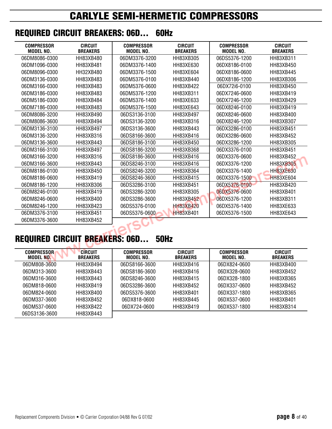### **REQUIRED CIRCUIT BREAKERS: 06D... 60Hz**

| <b>COMPRESSOR</b><br><b>MODEL NO.</b> | <b>CIRCUIT</b><br><b>BREAKERS</b> | <b>COMPRESSOR</b><br>MODEL NO. | <b>CIRCUIT</b><br><b>BREAKERS</b> | <b>COMPRESSOR</b><br><b>MODEL NO.</b> | <b>CIRCUIT</b><br><b>BREAKERS</b> |
|---------------------------------------|-----------------------------------|--------------------------------|-----------------------------------|---------------------------------------|-----------------------------------|
| 06DM8086-0300                         | HH83XB480                         | 06DM3376-3200                  | HH83XB305                         | 06DS5376-1200                         | HH83XB311                         |
| 06DM1096-0300                         | <b>HH83XB481</b>                  | 06DM3376-1400                  | HH83XE630                         | 06DX8186-0100                         | HH83XB450                         |
| 06DM8096-0300                         | HH32XB480                         | 06DM3376-1500                  | HH83XE604                         | 06DX8186-0600                         | HH83XB445                         |
| 06DM3136-0300                         | HH83XB483                         | 06DM5376-0100                  | HH83XB440                         | 06DX8186-1200                         | <b>HH83XB306</b>                  |
| 06DM3166-0300                         | HH83XB483                         | 06DM5376-0600                  | HH83XB422                         | 06DX72i6-0100                         | HH83XB450                         |
| 06DM3186-0300                         | HH83XB483                         | 06DM5376-1200                  | HH83XB311                         | 06DX7246-0600                         | HH83XB419                         |
| 06DM5186-0300                         | HH83XB484                         | 06DM5376-1400                  | HH83XE633                         | 06DX7246-1200                         | HH83XB429                         |
| 06DM7186-0300                         | HH83XB483                         | 06DM5376-1500                  | <b>HH83XE643</b>                  | 06DX8246-0100                         | HH83XB419                         |
| 06DM8086-3200                         | HH83XB490                         | 06DS3136-3100                  | HH83XB497                         | 06DX8246-0600                         | HH83XB400                         |
| 06DM8086-3600                         | HH83XB494                         | 06DS3136-3200                  | HH83XB316                         | 06DX8246-1200                         | HH83XB307                         |
| 06DM3136-3100                         | HH83XB497                         | 06DS3136-3600                  | HH83XB443                         | 06DX3286-0100                         | HH83XB451                         |
| 06DM3136-3200                         | HH83XB316                         | 06DS8166-3600                  | HH83XB416                         | 06DX3286-0600                         | HH83XB452                         |
| 06DM3136-3600                         | HH83XB443                         | 06DS8186-3100                  | HH83XB450                         | 06DX3286-1200                         | <b>HH83XB305</b>                  |
| 06DM3166-3100                         | <b>HH83XB497</b>                  | 06DS8186-3200                  | HH83XB368                         | 06DX3376-0100                         | HH83XB451                         |
| 06DM3166-3200                         | HH83XB316                         | 06DS8186-3600                  | HH83XB416                         | 06DX3376-0600                         | <b>HH83XB452</b>                  |
| 06DM3166-3600                         | HH83XB443                         | 06DS8246-3100                  | HH83XB416                         | 06DX3376-1200                         | <b>HH83XB305</b>                  |
| 06DM8186-0100                         | HH83XB450                         | 06DS8246-3200                  | HH83XB364                         | 06DX3376-1400                         | <b>HH83XE630</b>                  |
| 06DM8186-0600                         | HH83XB419                         | 06DS8246-3600                  | HH83XB415                         | 06DX3376-1500                         | <b>HH83XE604</b>                  |
| 06DM8186-1200                         | HH83XB306                         | 06DS3286-3100                  | HH83XB451                         | 06DX5376-0100                         | HH83XB420                         |
| 06DM8246-0100                         | HH83XB419                         | 06DS3286-3200                  | HH83XB305                         | 06DX5376-0600                         | HH83XB401                         |
| 06DM8246-0600                         | HH83XB400                         | 06DS3286-3600                  | HH83XB452                         | 06DX5376-1200                         | HH83XB311                         |
| 06DM8246-1200                         | HH83XB423                         | 06DS5376-0100                  | <b>HH83XB420</b>                  | 06DX5376-1400                         | HH83XE633                         |
| 06DM3376-3100                         | HH83XB451                         | 06DS5376-0600                  | <b>HH83XB401</b>                  | 06DX5376-1500                         | HH83XE643                         |
| 06DM3376-3600                         | HH83XB452                         |                                |                                   |                                       |                                   |

## $T = 2\pi$ **REQUIRED CIRCUIT BREAKERS: 06D... 50Hz**

| <b>COMPRESSOR</b><br>MODEL NO. | <b>CIRCUIT</b><br><b>BREAKERS</b> | COMPRESSOR<br>MODEL NO. | <b>CIRCUIT</b><br><b>BREAKERS</b> | COMPRESSOR<br>MODEL NO. | <b>CIRCUIT</b><br><b>BREAKERS</b> |
|--------------------------------|-----------------------------------|-------------------------|-----------------------------------|-------------------------|-----------------------------------|
| 06DM808-3600                   | HH83XB494                         | 06DS8166-3600           | HH83XB416                         | 06DX824-0600            | HH83XB400                         |
| 06DM313-3600                   | HH83XB443                         | 06DS8186-3600           | HH83XB416                         | 06DX328-0600            | HH83XB452                         |
| 06DM316-3600                   | HH83XB443                         | 06DS8246-3600           | HH83XB415                         | 06DX328-1800            | HH83XB365                         |
| 06DM818-0600                   | HH83XB419                         | 06DS3286-3600           | HH83XB452                         | 06DX337-0600            | HH83XB452                         |
| 06DM824-0600                   | HH83XB400                         | 06DS5376-3600           | HH83XB401                         | 06DX337-1800            | HH83XB365                         |
| 06DM337-3600                   | HH83XB452                         | 06DX818-0600            | HH83XB445                         | 06DX537-0600            | HH83XB401                         |
| 06DM537-0600                   | HH83XB422                         | 06DX724-0600            | HH83XB419                         | 06DX537-1800            | HH83XB314                         |
| 06DS3136-3600                  | HH83XB443                         |                         |                                   |                         |                                   |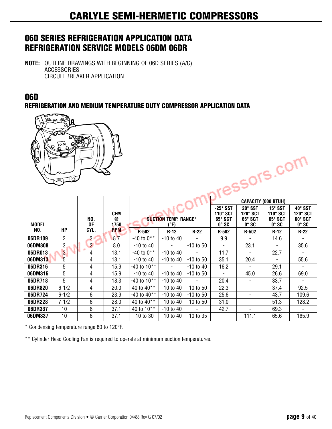### **06D SERIES REFRIGERATION APPLICATION DATA REFRIGERATION SERVICE MODELS 06DM 06DR**

**NOTE:** OUTLINE DRAWINGS WITH BEGINNING OF 06D SERIES (A/C) **ACCESSORIES** CIRCUIT BREAKER APPLICATION

### **06D**

**REFRIGERATION AND MEDIUM TEMPERATURE DUTY COMPRESSOR APPLICATION DATA**



|              |                |                |                  |                 |                                     |               |                                                               |                                                            | <b>CAPACITY (000 BTUH)</b>                                          |                                                              |
|--------------|----------------|----------------|------------------|-----------------|-------------------------------------|---------------|---------------------------------------------------------------|------------------------------------------------------------|---------------------------------------------------------------------|--------------------------------------------------------------|
| <b>MODEL</b> |                | NO.<br>0F      | CFM<br>@<br>1750 |                 | <b>SUCTION TEMP. RANGE*</b><br>(°F) |               | $-25^\circ$ SST<br>110° SCT<br>$65^\circ SGT$<br>$0^\circ$ SC | 20° SST<br>120° SCT<br>65° SGT<br>$0^\circ S$ <sub>C</sub> | $15^\circ$ SST<br>$110^\circ$ SCT<br>$65^\circ$ SGT<br>$0^\circ$ SC | 40° SST<br>$120^\circ$ SCT<br>$60^\circ SGT$<br>$0^\circ$ SC |
| NO.          | HP             | CYL.           | <b>RPM</b>       | R-502           | $R-12$                              | $R-22$        | $R-502$                                                       | $R-502$                                                    | $R-12$                                                              | $R-22$                                                       |
| 06DR109      | 2              | $\overline{2}$ | 8.7              | $-40$ to $0**$  | $-10$ to 40                         |               | 9.9                                                           |                                                            | 14.6                                                                |                                                              |
| 06DM808      | 3.             | $\overline{2}$ | 8.0              | $-10$ to $40$   | $\blacksquare$                      | $-10$ to 50   |                                                               | 23.1                                                       |                                                                     | 35.6                                                         |
| 06DR013      | 3 <sup>1</sup> | 4              | 13.1             | $-40$ to $0**$  | $-10$ to $40$                       |               | 11.7                                                          |                                                            | 22.7                                                                |                                                              |
| 06DM313      | 5              | 4              | 13.1             | $-10$ to $40$   | $-10$ to $40$                       | $-10$ to 50   | 35.1                                                          | 20.4                                                       |                                                                     | 55.6                                                         |
| 06DR316      | 5              | 4              | 15.9             | $-40$ to $10**$ | $\blacksquare$                      | $-10$ to $40$ | 16.2                                                          |                                                            | 29.1                                                                |                                                              |
| 06DM316      | 5              | 4              | 15.9             | -10 to 40       | $-10$ to $40$                       | $-10$ to $50$ | Ξ.                                                            | 45.0                                                       | 26.6                                                                | 69.0                                                         |
| 06DR718      | 5              | 4              | 18.3             | $-40$ to $10**$ | $-10$ to 40                         |               | 20.4                                                          |                                                            | 33.7                                                                |                                                              |
| 06DR820      | $6 - 1/2$      | 4              | 20.0             | 40 to $40**$    | $-10$ to $40$                       | $-10$ to $50$ | 22.3                                                          |                                                            | 37.4                                                                | 92.5                                                         |
| 06DR724      | $6 - 1/2$      | 6              | 23.9             | -40 to 40**     | $-10$ to 40                         | -10 to 50     | 25.6                                                          |                                                            | 43.7                                                                | 109.6                                                        |
| 06DR228      | $7 - 1/2$      | 6              | 28.0             | 40 to 40**      | $-10$ to 40                         | $-10$ to 50   | 31.0                                                          |                                                            | 51.3                                                                | 128.2                                                        |
| 06DR337      | 10             | 6              | 37.1             | 40 to $10^{**}$ | $-10$ to $40$                       |               | 42.7                                                          |                                                            | 69.3                                                                |                                                              |
| 06DM337      | 10             | 6              | 37.1             | $-10$ to 30     | $-10$ to $40$                       | $-10$ to 35   | -                                                             | 111.1                                                      | 65.6                                                                | 165.9                                                        |

\* Condensing temperature range 80 to 120°F.

\*\* Cylinder Head Cooling Fan is required to operate at minimum suction temperatures.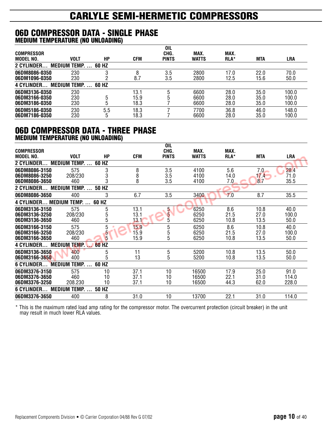#### **06D COMPRESSOR DATA - SINGLE PHASE MEDIUM TEMPERATURE (NO UNLOADING)**

|                    |                     |       |      | <b>OIL</b>   |              |            |            |            |
|--------------------|---------------------|-------|------|--------------|--------------|------------|------------|------------|
| <b>COMPRESSOR</b>  |                     |       |      | CHG.         | <b>MAX</b>   | <b>MAX</b> |            |            |
| MODEL NO.          | <b>VOLT</b>         | НP    | CFM  | <b>PINTS</b> | <b>WATTS</b> | RLA*       | <b>MTA</b> | <b>LRA</b> |
| <b>2 CYLINDER.</b> | <b>MEDIUM TEMP.</b> | 60 HZ |      |              |              |            |            |            |
| 06DM8086-0350      | 230                 |       |      | 3.5          | 2800         | 17.0       | 22.0       | 70.0       |
| 06DM1096-0350      | 230                 |       | 8.7  | 3.5          | 2800         | 12.5       | 15.6       | 50.0       |
| <b>4 CYLINDER</b>  | <b>MEDIUM TEMP.</b> | 60 HZ |      |              |              |            |            |            |
| 06DM3136-0350      | 230                 |       | 13.7 | h            | 6600         | 28.0       | 35.0       | 100.0      |
| 06DM3166-0350      | 230                 | 5     | 15.9 |              | 6600         | 28.0       | 35.0       | 100.0      |
| 06DM3186-0350      | 230                 | b     | 18.3 |              | 6600         | 28.0       | 35.0       | 100.0      |
| 06DM5186-0350      | 230                 | 5.5   | 18.3 |              | 7700         | 36.8       | 46.0       | 148.0      |
| 06DM7186-0350      | 230                 | ხ     | 18.3 |              | 6600         | 28.0       | 35.0       | 100.0      |

#### **06D COMPRESSOR DATA - THREE PHASE MEDIUM TEMPERATURE (NO UNLOADING)**

|                                    |                                      |              |            | <b>OIL</b>   |              |      |            |       |
|------------------------------------|--------------------------------------|--------------|------------|--------------|--------------|------|------------|-------|
| <b>COMPRESSOR</b>                  |                                      |              |            | CHG.         | MAX.         | MAX. |            |       |
| <b>MODEL NO.</b>                   | <b>VOLT</b>                          | <b>HP</b>    | <b>CFM</b> | <b>PINTS</b> | <b>WATTS</b> | RLA* | <b>MTA</b> | LRA   |
| 2 CYLINDER                         | <b>MEDIUM TEMP.</b><br>$\sim$ $\sim$ | 60 HZ        |            |              |              |      |            |       |
| 06DM8086-3150                      | 575                                  | 3            | 8          | 3.5          | 4100         | 5.6  | 7.0        | 28.4  |
| 06DM8086-3250                      | 208/230                              | 3            | 8          | 3.5          | 4100         | 14.0 | 17.4       | 71.0  |
| 06DM8086-3650                      | 460                                  | 3            | 8          | 3.5          | 4100         | 7.0  | 8.7        | 35.5  |
| 2 CYLINDER                         | <b>MEDIUM TEMP.</b><br>$\sim$ $\sim$ | 50 HZ        |            |              |              |      |            |       |
| 06DM8086-3650                      | 400                                  | 3            | 6.7        | 3.5          | 3400         | 7.0  | 8.7        | 35.5  |
| 4 CYLINDER MEDIUM TEMP.  60 HZ     |                                      |              |            |              |              |      |            |       |
| 06DM3136-3150                      | 575                                  | 5            | 13.1       | 5            | 6250         | 8.6  | 10.8       | 40.0  |
| 06DM3136-3250                      | 208/230                              | 5            | 13.1       | 5            | 6250         | 21.5 | 27.0       | 100.0 |
| 06DM3136-3650                      | 460                                  | 5            | 13.1       | 5            | 6250         | 10.8 | 13.5       | 50.0  |
| 06DM3166-3150                      | 575                                  | 5            | 15.9       | 5            | 6250         | 8.6  | 10.8       | 40.0  |
| 06DM3166-3250                      | 208/230                              | 5            | 15.9       | 5            | 6250         | 21.5 | 27.0       | 100.0 |
| 06DM3166-3650                      | 460                                  | 5            | 15.9       | 5            | 6250         | 10.8 | 13.5       | 50.0  |
| <b>4 CYLINDER</b><br><b>MEDIUM</b> | <b>TEMP.</b>                         | <b>60 HZ</b> |            |              |              |      |            |       |
| 06DM3136-3650                      | 400                                  | 5            | 11         | 5            | 5200         | 10.8 | 13.5       | 50.0  |
| 06DM3166-3650                      | 400                                  | 5            | 13         | 5            | 5200         | 10.8 | 13.5       | 50.0  |
| <b>MEDIUM</b><br>6 CYLINDER        | TEMP.<br>$\cdot$ $\cdot$             | 60 HZ        |            |              |              |      |            |       |
| 06DM3376-3150                      | 575                                  | 10           | 37.1       | 10           | 16500        | 17.9 | 25.0       | 91.0  |
| 06DM3376-3650                      | 460                                  | 10           | 37.1       | 10           | 16500        | 22.1 | 31.0       | 114.0 |
| 06DM3376-3250                      | 208.230                              | 10           | 37.1       | 10           | 16500        | 44.3 | 62.0       | 228.0 |
| 6 CYLINDER                         | <b>MEDIUM TEMP.</b>                  | 50 HZ        |            |              |              |      |            |       |
| 06DM3376-3650                      | 400                                  | 8            | 31.0       | 10           | 13700        | 22.1 | 31.0       | 114.0 |

\* This is the maximum rated load amp rating for the compressor motor. The overcurrent protection (circuit breaker) in the unit may result in much lower RLA values.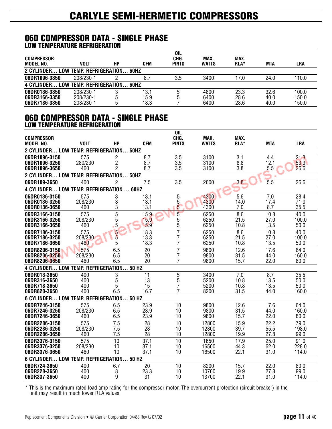#### **06D COMPRESSOR DATA - SINGLE PHASE LOW TEMPERATURE REFRIGERATION**

|                                         |           |    |      | OIL          |              |      |      |       |
|-----------------------------------------|-----------|----|------|--------------|--------------|------|------|-------|
| <b>COMPRESSOR</b>                       |           |    |      | CHG.         | MAX.         | MAX. |      |       |
| MODEL NO.                               | VOLT      | НP | CFM  | <b>PINTS</b> | <b>WATTS</b> | RLA* | MTA  | LRA   |
| 2 CYLINDER LOW TEMP. REFRIGERATION 60HZ |           |    |      |              |              |      |      |       |
| 06DR1096-3350                           | 208/230-1 |    |      | 3.5          | 3400         | 17.0 | 24.0 | 110.0 |
| 4 CYLINDER LOW TEMP. REFRIGERATION      |           |    | 60H7 |              |              |      |      |       |
| 06DR0136-3350                           | 208/230-1 |    | 13.1 |              | 4800         | 23.3 | 32.6 | 100.0 |
| 06DR3166-3350                           | 208/230-1 |    | 15.9 |              | 6400         | 28.6 | 40.0 | 150.0 |
| 06DR7186-3350                           | 208/230-1 |    | 18.3 |              | 6400         | 28.6 | 40.0 | 150.0 |

#### **06D COMPRESSOR DATA - SINGLE PHASE LOW TEMPERATURE REFRIGERATION**

| <b>COMPRESSOR</b>                         |                |                |              | <b>OIL</b><br>CHG. | MAX.           | MAX.         |              |                |
|-------------------------------------------|----------------|----------------|--------------|--------------------|----------------|--------------|--------------|----------------|
| MODEL NO.                                 | <b>VOLT</b>    | <b>HP</b>      | <b>CFM</b>   | <b>PINTS</b>       | WATTS          | RLA*         | <b>MTA</b>   | <b>LRA</b>     |
| 2 CYLINDER LOW TEMP. REFRIGERATION 60HZ   |                |                |              |                    |                |              |              |                |
| 06DR1096-3150                             | 575            | $\overline{c}$ | 8.7          | 3.5                | 3100           | 3.1          | 4.4          | 21.3           |
| 06DR1096-3250                             | 280/230        | 2              | 8.7          | 3.5                | 3100           | 8.8          | 12.1         | 53.3           |
| 06DR1096-3650                             | 460            | 2              | 8.7          | 3.5                | 3100           | 3.8          | 5.5          | 26.6           |
| 2 CYLINDER LOW TEMP. REFRIGERATION        |                |                | <b>50HZ</b>  |                    |                |              |              |                |
| 06DR109-3650                              | 400            | $\overline{2}$ | 7.5          | 3.5                | 2600           | 3.8          | 5.5          | 26.6           |
| 4 CYLINDER LOW TEMP. REFRIGERATION  60HZ  |                |                |              |                    |                |              |              |                |
| 06DR0136-3150                             | 575            | 3              | 13.1         | 5                  | 4300           | 5.6          | 7.0          | 28.4           |
| 06DR0136-3250                             | 208/230        | 3              | 13.1         | 5                  | 4300           | 14.0         | 17.4         | 71.0           |
| 06DR0136-3650                             | 460            | 3              | 13.1         | 5                  | 4300           | 7.0          | 8.7          | 35.5           |
| 06DR3166-3150                             | 575            | 5              | 15.9         | 5                  | 6250           | 8.6          | 10.8         | 40.0           |
| 06DR3166-3250<br>06DR3166-3650            | 208/230<br>460 | 5<br>5         | 15.9<br>15.9 | 5<br>5             | 6250<br>6250   | 21.5<br>10.8 | 27.0<br>13.5 | 100.0<br>50.0  |
| 06DR7186-3150                             | 575            | 5              | 18.3         | $\overline{7}$     | 6250           | 8.6          | 10.8         | 40.0           |
| 06DR7186-3250                             | 208/230        | $\overline{5}$ | 18.3         | 7                  | 6250           | 21.5         | 27.0         | 100.0          |
| 06DR7186-3650                             | 460            | 5              | 18.3         | 7                  | 6250           | 10.8         | 13.5         | 50.0           |
| 06DR8206-3150                             | 575            | 6.5            | 20           | 7                  | 9800           | 12.6         | 17.6         | 64.0           |
| 06DR8206-3250                             | 208/230        | 6.5            | 20           | 7                  | 9800           | 31.5         | 44.0         | 160.0          |
| 06DR8206-3650                             | 460            | 6.5            | 20           | 7                  | 9800           | 15.7         | 22.0         | 80.0           |
| <b>4 CYLINDER LOW TEMP. REFRIGERATION</b> |                |                | 50 HZ        |                    |                |              |              |                |
| 06DR013-3650                              | 400            | 3              | 11           | 5                  | 3400           | 7.0          | 8.7          | 35.5           |
| 06DR316-3650                              | 400            | 5              | 13           | $\overline{5}$     | 5200           | 10.8         | 13.5         | 50.0           |
| 06DR718-3650<br>06DR820-3650              | 400<br>400     | 5<br>6.5       | 15<br>16.7   | 7<br>7             | 5200<br>8200   | 10.8<br>31.5 | 13.5<br>44.0 | 50.0<br>160.0  |
| 6 CYLINDER LOW TEMP. REFRIGERATION.       |                |                | 60 HZ        |                    |                |              |              |                |
| 06DR7246-3150                             | 575            | 6.5            | 23.9         | 10                 | 9800           | 12.6         | 17.6         | 64.0           |
| 06DR7246-3250                             | 208/230        | 6.5            | 23.9         | 10                 | 9800           | 31.5         | 44.0         | 160.0          |
| 06DR7246-3650                             | 460            | 6.5            | 23.9         | 10                 | 9800           | 15.7         | 22.0         | 80.0           |
| 06DR2286-3150                             | 575            | 7.5            | 28           | 10                 | 12800          | 15.9         | 22.2         | 79.0           |
| 06DR2286-3250                             | 208/230        | 7.5            | 28           | 10                 | 12800          | 39.7         | 55.5         | 198.0          |
| 06DR2286-3650                             | 460            | 7.5            | 28           | 10                 | 12800          | 19.9         | 27.8         | 99.0           |
| 06DR3376-3150                             | 575            | 10             | 37.1         | 10                 | 1650           | 17.9         | 25.0         | 91.0           |
| 06DR3376-3250<br>06DR3376-3650            | 208/230<br>460 | 10<br>10       | 37.1<br>37.1 | 10<br>10           | 16500<br>16500 | 44.3<br>22.1 | 62.0<br>31.0 | 228.0<br>114.0 |
| 6 CYLINDER LOW TEMP. REFRIGERATION        |                |                | 50 HZ        |                    |                |              |              |                |
|                                           |                |                |              |                    |                |              |              |                |
| 06DR724-3650                              | 400            | 6.7            | 20<br>23.3   | 10                 | 8200           | 15.7<br>19.9 | 22.0         | 80.0           |
| 06DR228-3650<br>06DR337-3650              | 400<br>400     | 8<br>9         | 31           | 10<br>10           | 10700<br>13700 | 22.1         | 27.8<br>31.0 | 99.0<br>114.0  |
|                                           |                |                |              |                    |                |              |              |                |

\* This is the maximum rated load amp rating for the compressor motor. The overcurrent protection (circuit breaker) in the unit may result in much lower RLA values.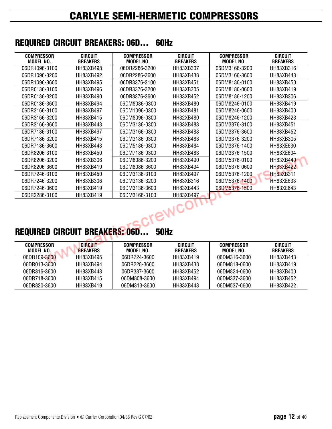### **REQUIRED CIRCUIT BREAKERS: 06D... 60Hz**

| <b>COMPRESSOR</b><br><b>MODEL NO.</b> | <b>CIRCUIT</b><br><b>BREAKERS</b> | <b>COMPRESSOR</b><br><b>MODEL NO.</b> | <b>CIRCUIT</b><br><b>BREAKERS</b> | <b>COMPRESSOR</b><br><b>MODEL NO.</b> | <b>CIRCUIT</b><br><b>BREAKERS</b> |
|---------------------------------------|-----------------------------------|---------------------------------------|-----------------------------------|---------------------------------------|-----------------------------------|
| 06DR1096-3100                         | HH83XB498                         | 06DR2286-3200                         | HH83XB307                         | 06DM3166-3200                         | HH83XB316                         |
| 06DR1096-3200                         | HH83XB492                         | 06DR2286-3600                         | HH83XB438                         | 06DM3166-3600                         | HH83XB443                         |
| 06DR1096-3600                         | HH83XB495                         | 06DR3376-3100                         | <b>HH83XB451</b>                  | 06DM8186-0100                         | HH83XB450                         |
| 06DR0136-3100                         | HH83XB496                         | 06DR3376-3200                         | HH83XB305                         | 06DM8186-0600                         | HH83XB419                         |
| 06DR0136-3200                         | HH83XB490                         | 06DR3376-3600                         | HH83XB452                         | 06DM8186-1200                         | HH83XB306                         |
| 06DR0136-3600                         | HH83XB494                         | 06DM8086-0300                         | HH83XB480                         | 06DM8246-0100                         | HH83XB419                         |
| 06DR3166-3100                         | HH83XB497                         | 06DM1096-0300                         | HH83XB481                         | 06DM8246-0600                         | HH83XB400                         |
| 06DR3166-3200                         | HH83XB415                         | 06DM8096-0300                         | HH32XB480                         | 06DM8246-1200                         | HH83XB423                         |
| 06DR3166-3600                         | HH83XB443                         | 06DM3136-0300                         | HH83XB483                         | 06DM3376-3100                         | HH83XB451                         |
| 06DR7186-3100                         | HH83XB497                         | 06DM3166-0300                         | HH83XB483                         | 06DM3376-3600                         | HH83XB452                         |
| 06DR7186-3200                         | HH83XB415                         | 06DM3186-0300                         | HH83XB483                         | 06DM3376-3200                         | HH83XB305                         |
| 06DR7186-3600                         | HH83XB443                         | 06DM5186-0300                         | HH83XB484                         | 06DM3376-1400                         | HH83XE630                         |
| 06DR8206-3100                         | HH83XB450                         | 06DM7186-0300                         | HH83XB483                         | 06DM3376-1500                         | HH83XE604                         |
| 06DR8206-3200                         | HH83XB306                         | 06DM8086-3200                         | HH83XB490                         | 06DM5376-0100                         | HH83XB440                         |
| 06DR8206-3600                         | HH83XB419                         | 06DM8086-3600                         | HH83XB494                         | 06DM5376-0600                         | <b>HH83XB422</b>                  |
| 06DR7246-3100                         | HH83XB450                         | 06DM3136-3100                         | HH83XB497                         | 06DM5376-1200                         | <b>HH83XB311</b>                  |
| 06DR7246-3200                         | HH83XB306                         | 06DM3136-3200                         | HH83XB316                         | 06DM5376-1400                         | <b>HH83XE633</b>                  |
| 06DR7246-3600                         | HH83XB419                         | 06DM3136-3600                         | HH83XB443                         | 06DM5376-1500                         | <b>HH83XE643</b>                  |
| 06DR2286-3100                         | HH83XB419                         | 06DM3166-3100                         | HH83XB497                         |                                       |                                   |



## **REQUIRED CIRCUIT BREAKERS: 06D... 50Hz**

| <b>COMPRESSOR</b><br>MODEL NO. | <b>CIRCUIT</b><br><b>BREAKERS</b> | <b>COMPRESSOR</b><br>MODEL NO. | CIRCUIT<br><b>BREAKERS</b> | <b>COMPRESSOR</b><br>MODEL NO. | <b>CIRCUIT</b><br><b>BREAKERS</b> |
|--------------------------------|-----------------------------------|--------------------------------|----------------------------|--------------------------------|-----------------------------------|
| 06DR109-3600                   | HH83XB495                         | 06DR724-3600                   | HH83XB419                  | 06DM316-3600                   | HH83XB443                         |
| 06DR013-3600                   | HH83XB494                         | 06DR228-3600                   | HH83XB438                  | 06DM818-0600                   | HH83XB419                         |
| 06DR316-3600                   | HH83XB443                         | 06DR337-3600                   | HH83XB452                  | 06DM824-0600                   | HH83XB400                         |
| 06DR718-3600                   | HH83XB415                         | 06DM808-3600                   | HH83XB494                  | 06DM337-3600                   | HH83XB452                         |
| 06DR820-3600                   | HH83XB419                         | 06DM313-3600                   | HH83XB443                  | 06DM537-0600                   | HH83XB422                         |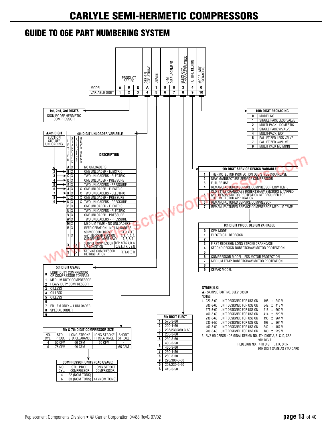### **GUIDE TO 06E PART NUMBERING SYSTEM**

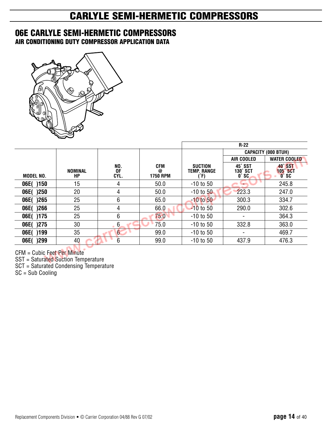### **06E CARLYLE SEMI-HERMETIC COMPRESSORS**

**AIR CONDITIONING DUTY COMPRESSOR APPLICATION DATA**



|              |               |                   |                             |                                              | $R-22$                                     |                                           |
|--------------|---------------|-------------------|-----------------------------|----------------------------------------------|--------------------------------------------|-------------------------------------------|
|              |               |                   |                             |                                              |                                            | <b>CAPACITY (000 BTUH)</b>                |
|              |               |                   |                             |                                              | AIR COOLED                                 | <b>WATER COOLED</b>                       |
| MODEL NO.    | NOMINAL<br>НP | NO.<br>0F<br>CYL. | CFM<br>@<br><b>1750 RPM</b> | <b>SUCTION</b><br><b>TEMP. RANGE</b><br>(°F) | 45° SST<br><b>130° SCT</b><br>$0^\circ$ SC | 40° SST<br><b>105° SCT</b><br><b>O°SC</b> |
| )150<br>06E( | 15            | 4                 | 50.0                        | $-10$ to 50                                  |                                            | 245.8                                     |
| )250<br>06E( | 20            | 4                 | 50.0                        | $-10$ to $50$                                | 223.3                                      | 247.0                                     |
| 06E()265     | 25            | 6                 | 65.0                        | $-10$ to $50$                                | 300.3                                      | 334.7                                     |
| 06E()266     | 25            | 4                 | 66.0                        | $-10$ to 50                                  | 290.0                                      | 302.6                                     |
| )175<br>06E( | 25            | 6                 | 75.0                        | $-10$ to 50                                  |                                            | 364.3                                     |
| )275<br>06E( | 30            | $6 \overline{6}$  | 75.0                        | $-10$ to 50                                  | 332.8                                      | 363.0                                     |
| 06E()199     | 35            | 6                 | 99.0                        | $-10$ to 50                                  | -                                          | 469.7                                     |
| 06E()299     | 40            | 6                 | 99.0                        | $-10$ to 50                                  | 437.9                                      | 476.3                                     |

CFM = Cubic Feet Per Minute

SST = Saturated Suction Temperature

SCT = Saturated Condensing Temperature

SC = Sub Cooling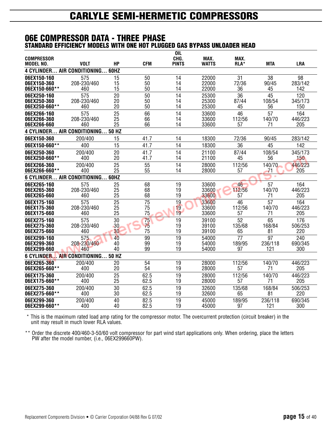#### **06E COMPRESSOR DATA - THREE PHASE STANDARD EFFICIENCY MODELS WITH ONE HOT PLUGGED GAS BYPASS UNLOADER HEAD**

| <b>COMPRESSOR</b>            |                                   |                       |                       | <b>OIL</b><br>CHG. | MAX.           |                     |              |                 |
|------------------------------|-----------------------------------|-----------------------|-----------------------|--------------------|----------------|---------------------|--------------|-----------------|
| <b>MODEL NO.</b>             | <b>VOLT</b>                       | <b>HP</b>             | <b>CFM</b>            | <b>PINTS</b>       | <b>WATTS</b>   | MAX.<br><b>RLA*</b> | <b>MTA</b>   | <b>LRA</b>      |
|                              | 4 CYLINDER AIR CONDITIONING       | <b>60HZ</b>           |                       |                    |                |                     |              |                 |
| 06EX150-160                  | $\overline{575}$                  | $\overline{15}$       | 50                    | 14                 | 22000          | $\overline{31}$     | 38           | $\overline{98}$ |
| 06EX150-360                  | 208-230/460                       | 15                    | 50                    | 14                 | 22000          | 72/36               | 90/45        | 283/142         |
| 06EX150-660**                | 460                               | 15                    | 50                    | 14                 | 22000          | 36                  | 45           | 142             |
| 06EX250-160<br>06EX250-360   | 575<br>208-230/460                | 20<br>20              | 50<br>50              | 14<br>14           | 25300<br>25300 | 36<br>87/44         | 45<br>108/54 | 120<br>345/173  |
| 06EX250-660**                | 460                               | 20                    | 50                    | 14                 | 25300          | 45                  | 56           | 150             |
| 06EX266-160                  | 575                               | 25                    | 66                    | 14                 | 33600          | 46                  | 57           | 164             |
| 06EX266-360                  | 208-230/460                       | 25                    | 66                    | 14                 | 33600          | 112/56              | 140/70       | 446/223         |
| 06EX266-660                  | 460                               | 25                    | 66                    | 14                 | 33600          | 57                  | 71           | 205             |
|                              | 4 CYLINDER AIR CONDITIONING 50 HZ |                       |                       |                    |                |                     |              |                 |
| 06EX150-360                  | 200/400                           | 15                    | 41.7                  | 14                 | 18300          | 72/36               | 90/45        | 283/142         |
| 06EX150-660**                | 400                               | 15                    | 41.7                  | 14                 | 18300          | 36                  | 45           | 142             |
| 06EX250-360                  | 200/400                           | 20                    | 41.7                  | 14                 | 21100          | 87/44               | 108/54       | 345/173         |
| 06EX250-660**                | 400                               | 20                    | 41.7                  | 14                 | 21100          | 45                  | 56           | 150             |
| 06EX266-360<br>06EX266-660** | 200/400<br>400                    | $\overline{25}$<br>25 | $\overline{55}$<br>55 | 14<br>14           | 28000<br>28000 | 112/56<br>57        | 140/70<br>71 | 446/223<br>205  |
|                              | 6 CYLINDER AIR CONDITIONING 60HZ  |                       |                       |                    |                |                     |              |                 |
| 06EX265-160                  | 575                               | 25                    | 68                    | 19                 | 33600          | 46                  | 57           | 164             |
| 06EX265-360<br>06EX265-660   | 208-230/460<br>460                | 25<br>25              | 68<br>68              | 19<br>19           | 33600<br>33600 | 112/56<br>57        | 140/70<br>71 | 446/223<br>205  |
| 06EX175-160                  | 575                               | 25                    | 75                    | 19                 | 33600          | 46                  | 57           | 164             |
| 06EX175-360                  | 208-230/460                       | 25                    | 75                    | 19                 | 33600          | 112/56              | 140/70       | 446/223         |
| 06EX175-660                  | 460                               | 25                    | 75                    | 19                 | 33600          | 57                  | 71           | 205             |
| 06EX275-160                  | 575                               | 30                    | 75                    | 19                 | 39100          | 52                  | 65           | 176             |
| 06EX275-360                  | 208-230/460                       | 30<br>30              | 75<br>75              | 19<br>19           | 39100          | 135/68              | 168/84       | 506/253         |
| 06EX275-660<br>06EX299-160   | 460<br>575                        | 40                    | 99                    | 19                 | 39100<br>54000 | 65<br>77            | 81<br>97     | 220<br>240      |
| 06EX299-360                  | 208-230/460                       | 40                    | 99                    | 19                 | 54000          | 189/95              | 236/118      | 690/345         |
| 06EX299-660                  | 460                               | 40                    | 99                    | 19                 | 54000          | 97                  | 121          | 300             |
|                              | 6 CYLINDER AIR CONDITIONING 50 HZ |                       |                       |                    |                |                     |              |                 |
| 06EX265-360                  | 200/400                           | 20                    | 54                    | 19                 | 28000          | 112/56              | 140/70       | 446/223         |
| 06EX265-660**                | 400                               | 20                    | 54                    | 19                 | 28000          | 57                  | 71           | 205             |
| 06EX175-360<br>06EX175-660** | 200/400                           | 25                    | 62.5                  | 19                 | 28000<br>28000 | 112/56              | 140/70       | 446/223         |
|                              | 400                               | 25                    | 62.5                  | 19                 |                | 57                  | 71           | 205             |
| 06EX275-360<br>06EX275-660** | 200/400<br>400                    | 30<br>30              | 62.5<br>62.5          | 19<br>19           | 32600<br>32600 | 135/68<br>65        | 168/84<br>81 | 506/253<br>220  |
| 06EX299-360                  | 200/400                           | 40                    | 82.5                  | $\overline{19}$    | 45000          | 189/95              | 236/118      | 690/345         |
| 06EX299-660**                | 400                               | 40                    | 82.5                  | 19                 | 45000          | 97                  | 121          | 300             |
|                              |                                   |                       |                       |                    |                |                     |              |                 |

\* This is the maximum rated load amp rating for the compressor motor. The overcurrent protection (circuit breaker) in the unit may result in much lower RLA values.

\*\* Order the discrete 400/460-3-50/60 volt compressor for part wind start applications only. When ordering, place the letters PW after the model number, (i.e., 06EX299660PW).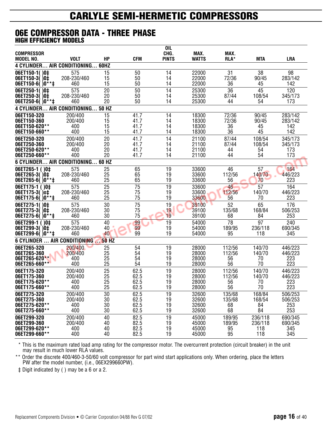#### **06E COMPRESSOR DATA - THREE PHASE HIGH EFFICIENCY MODELS**

| <b>COMPRESSOR</b>                            |                       |              |              | OIL<br>CHG.  | MAX.           | MAX.             |                    |                    |
|----------------------------------------------|-----------------------|--------------|--------------|--------------|----------------|------------------|--------------------|--------------------|
| <b>MODEL NO.</b>                             | <b>VOLT</b>           | HP           | <b>CFM</b>   | <b>PINTS</b> | <b>WATTS</b>   | RLA*             | <b>MTA</b>         | LRA                |
| <b>4 CYLINDER</b>                            | AIR CONDITIONING 60HZ |              |              |              |                |                  |                    |                    |
| 06ET150-1()0‡                                | 575                   | 15           | 50           | 14           | 22000          | 31               | 38                 | 98                 |
| 06ET150-3()0‡<br>$06E$ T150-6( $0**$ ‡       | 208-230/460<br>460    | 15<br>15     | 50<br>50     | 14<br>14     | 22000<br>22000 | 72/36<br>36      | 90/45<br>45        | 283/142<br>142     |
| 06ET250-1()0‡                                | 575                   | 20           | 50           | 14           | 25300          | 36               | 45                 | 120                |
| 06ET250-3()0‡                                | 208-230/460           | 20           | 50           | 14           | 25300          | 87/44            | 108/54             | 345/173            |
| $06E$ T250-6( $0**$ ‡                        | 460                   | 20           | 50           | 14           | 25300          | 44               | 54                 | 173                |
| <b>4 CYLINDER AIR CONDITIONING</b>           |                       | <b>50 HZ</b> |              |              |                |                  |                    |                    |
| 06ET150-320<br>06ET150-360                   | 200/400<br>200/400    | 15<br>15     | 41.7<br>41.7 | 14<br>14     | 18300<br>18300 | 72/36<br>72/36   | 90/45<br>90/45     | 283/142<br>283/142 |
| 06ET150-620**                                | 400                   | 15           | 41.7         | 14           | 18300          | 36               | 45                 | 142                |
| 06ET150-660**                                | 400                   | 15           | 41.7         | 14           | 18300          | 36               | 45                 | 142                |
| 06ET250-320                                  | 200/400               | 20           | 41.7         | 14           | 21100          | 87/44            | 108/54             | 345/173            |
| 06ET250-360                                  | 200/400               | 20<br>20     | 41.7         | 14           | 21100          | 87/44            | 108/54             | 345/173            |
| 06ET250-620**<br>06ET250-660**               | 400<br>400            | 20           | 41.7<br>41.7 | 14<br>14     | 21100<br>21100 | 44<br>44         | 54<br>54           | 173<br>173         |
| 6 CYLINDER AIR CONDITIONING                  |                       | 60 HZ        |              |              |                |                  |                    |                    |
| 06ET265-1 ()0‡                               | 575                   | 25           | 65           | 19           | 33600          | 46               | 57                 | 164                |
| 06ET265-3()0‡                                | 208-230/460           | 25           | 65           | 19           | 33600          | 112/56           | 140/70             | 446/223            |
| 06ET265-6(<br>$)0***$                        | 460                   | 25           | 65           | 19           | 33600          | 56               | 70                 | 223                |
| 06ET175-1 ()0‡<br>06ET175-3() o‡             | 575<br>208-230/460    | 25<br>25     | 75<br>75     | 19<br>19     | 33600<br>33600 | 46<br>112/56     | 57<br>140/70       | 164<br>446/223     |
| 06ET175-6(<br>10<br>**‡                      | 460                   | 25           | 75           | 19           | 33600          | 56               | 70                 | 223                |
| 06ET275-1()0‡                                | 575                   | 30           | 75           | 19           | 39100          | 52               | 65                 | 176                |
| 06ET275-3<br>0 <sup>†</sup>                  | 208-230/460           | 30           | 75           | 19           | 39100          | 135/68           | 168/84             | 506/253            |
| 06ET275-6(<br>$0**$                          | 460                   | 30           | 75           | 19           | 39100          | 68               | 84<br>97           | 253                |
| 06ET299-1<br>0 <sup>†</sup><br>06ET299-3()0‡ | 575<br>208-230/460    | 40<br>40     | 99<br>99     | 19<br>19     | 54000<br>54000 | 78<br>189/95     | 236/118            | 240<br>690/345     |
| 06ET299-6()0<br>**‡                          | 460                   | 40           | 99           | 19           | 54000          | 95               | 118                | 345                |
| 6 CYLINDER  AIR CONDITIONING                 |                       | <b>50 HZ</b> |              |              |                |                  |                    |                    |
| 06ET265-320                                  | 200/400               | 25           | 54           | 19           | 28000          | 112/56           | 140/70             | 446/223            |
| 06ET265-360<br>06ET265-620**                 | 200/400               | 25<br>25     | 54<br>54     | 19           | 28000<br>28000 | 112/56           | 140/70             | 446/223            |
| 06ET265-660**                                | 400<br>400            | 25           | 54           | 19<br>19     | 28000          | 56<br>56         | 70<br>70           | 223<br>223         |
| 06ET175-320                                  | 200/400               | 25           | 62.5         | 19           | 28000          | 112/56           | 140/70             | 446/223            |
| 06ET175-360                                  | 200/400               | 25           | 62.5         | 19           | 28000          | 112/56           | 140/70             | 446/223            |
| 06ET175-620**<br>06ET175-660**               | 400<br>400            | 25<br>25     | 62.5<br>62.5 | 19<br>19     | 28000<br>28000 | 56<br>56         | 70<br>70           | 223<br>223         |
| 06ET275-320                                  | 200/400               | 30           | 62.5         | 19           | 32600          | 135/68           | 168/84             | 506/253            |
| 06ET275-360                                  | 200/400               | 30           | 62.5         | 19           | 32600          | 135/68           | 168/54             | 506/253            |
| 06ET275-620**                                | 400                   | 30           | 62.5         | 19           | 32600          | 68               | 84                 | 253                |
| 06ET275-660**                                | 400                   | 30           | 62.5         | 19           | 32600          | 68               | 84                 | 253                |
| 06ET299-320<br>06ET299-360                   | 200/400<br>200/400    | 40<br>40     | 82.5<br>82.5 | 19<br>19     | 45000<br>45000 | 189/95<br>189/95 | 236/118<br>236/118 | 690/345<br>690/345 |
| 06ET299-620**                                | 400                   | 40           | 82.5         | 19           | 45000          | 95               | 118                | 345                |
| 06ET299-660**                                | 400                   | 40           | 82.5         | 19           | 45000          | 95               | 118                | 345                |

\* This is the maximum rated load amp rating for the compressor motor. The overcurrent protection (circuit breaker) in the unit may result in much lower RLA values.

\*\* Order the discrete 400/460-3-50/60 volt compressor for part wind start applications only. When ordering, place the letters PW after the model number, (i.e., 06EX299660PW).

‡ Digit indicated by ( ) may be a 6 or a 2.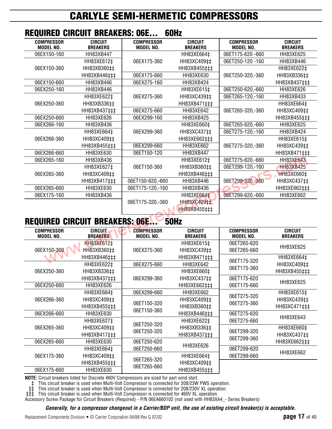| IILQVIIILD VIIIVVII DIILAKLIIV. VVLIII |                                       |                                   |                                       |                                   |  |  |  |  |  |  |  |
|----------------------------------------|---------------------------------------|-----------------------------------|---------------------------------------|-----------------------------------|--|--|--|--|--|--|--|
| <b>CIRCUIT</b><br><b>BREAKERS</b>      | <b>COMPRESSOR</b><br><b>MODEL NO.</b> | <b>CIRCUIT</b><br><b>BREAKERS</b> | <b>COMPRESSOR</b><br><b>MODEL NO.</b> | <b>CIRCUIT</b><br><b>BREAKERS</b> |  |  |  |  |  |  |  |
| HH83XB447                              |                                       | HH83XE664‡                        | 06ET175-620 -660                      | HH83XE625                         |  |  |  |  |  |  |  |
| HH83XE612‡                             | 06EX175-360                           | HH83XC409‡‡                       | 06ET250-120 -160                      | HH83XB446                         |  |  |  |  |  |  |  |
| HH83XB360‡‡                            |                                       | HH83XB455‡‡‡                      |                                       | HH83XE622‡                        |  |  |  |  |  |  |  |
| HH83XB446‡‡‡                           | 06EX175-660                           | HH83XE630                         | 06ET250-320,-360                      | HH83XB336##                       |  |  |  |  |  |  |  |
| HH83XB446                              | 06EX275-160                           | HH83XB424                         |                                       | HH83XB437‡‡‡                      |  |  |  |  |  |  |  |
| HH83XB446                              |                                       | HH83XE615‡                        | 06ET250-620,-660                      | HH83XE626                         |  |  |  |  |  |  |  |
| HH83XE622‡                             | 06EX275-360                           | HH83XC439‡‡                       | 06ET265-120,-160                      | HH83XB433                         |  |  |  |  |  |  |  |
| HH83XB336‡‡                            |                                       | HH83XB471‡‡‡                      |                                       | HH83XE664‡                        |  |  |  |  |  |  |  |
| HH83XB437‡‡‡                           | 06EX275-660                           | HH83XE642                         | 06ET265-320,-360                      | HH83XC409‡‡                       |  |  |  |  |  |  |  |
| HH83XE626                              | 06EX299-160                           | HH83XB425                         |                                       | HH83XB455‡‡‡                      |  |  |  |  |  |  |  |
| HH83XB436                              |                                       | HH83XE660‡                        | 06ET265-620,-660                      | HH83XE625                         |  |  |  |  |  |  |  |
| HH83XE664‡                             | 06EX299-360                           | HH83XC437#                        | 06ET275-120,-160                      | HH83XB424                         |  |  |  |  |  |  |  |
| HH83XC409‡‡                            |                                       | HH83XE662‡‡‡                      |                                       | HH83XE615‡                        |  |  |  |  |  |  |  |
| HH83XB455‡‡‡                           | 06FX299-660                           | HH83XE662                         | 06ET275-320,-360                      | HH83XC439‡‡                       |  |  |  |  |  |  |  |
| HH83XE630                              | 06ET150-120                           | HH83XB447                         |                                       | HH83XB471‡‡‡                      |  |  |  |  |  |  |  |
| HH83XB436                              |                                       | HH83XE612‡                        | 06ET275-620,-660                      | <b>HH83XE643</b>                  |  |  |  |  |  |  |  |
| HH83XE627‡                             | 06ET150-360                           | HH83XB360‡‡                       | 06ET299-120,-160                      | <b>HH83XB425</b>                  |  |  |  |  |  |  |  |
| HH83XC409‡‡                            |                                       | HH83XB446‡‡‡                      |                                       | <b>HH83XE660‡</b>                 |  |  |  |  |  |  |  |
| HH83XB417‡‡‡                           | 06ET150-620,-660                      | HH83XB446                         | 06ET299-320,-360                      | HH83XC437‡‡                       |  |  |  |  |  |  |  |
| HH83XE630                              | 06ET175-120,-160                      | HH83XB436                         |                                       | HH83XE662‡‡‡                      |  |  |  |  |  |  |  |
| HH83XB436                              |                                       | HH83XE664 <sup>+</sup>            | 06ET299-620,-660                      | HH83XE662                         |  |  |  |  |  |  |  |
|                                        | 06ET175-320,-360                      | HH83XC409 <sup>++</sup>           |                                       |                                   |  |  |  |  |  |  |  |
|                                        |                                       | HH83XB455‡‡‡                      |                                       |                                   |  |  |  |  |  |  |  |
|                                        |                                       |                                   | UUIIL                                 |                                   |  |  |  |  |  |  |  |

### **REQUIRED CIRCUIT BREAKERS: 06E... 60Hz**

### **REQUIRED CIRCUIT BREAKERS: 06E... 50Hz**

| <b>COMPRESSOR</b><br><b>MODEL NO.</b> | <b>CIRCUIT</b><br><b>BREAKERS</b>         | <b>COMPRESSOR</b><br><b>MODEL NO.</b> | <b>CIRCUIT</b><br><b>BREAKERS</b>       | <b>COMPRESSOR</b><br><b>MODEL NO.</b> | <b>CIRCUIT</b><br><b>BREAKERS</b>         |
|---------------------------------------|-------------------------------------------|---------------------------------------|-----------------------------------------|---------------------------------------|-------------------------------------------|
| 06EX150-360                           | HH83XE612‡<br>HH83XB360‡‡                 | 06EX275-360                           | HH83XE615‡<br>HH83XC439‡‡               | 06ET265-620<br>06ET265-660            | HH83XE625                                 |
|                                       | HH83XB446‡‡‡<br>HH83XE622‡                | 06EX275-660                           | HH83XB471‡‡‡<br>HH83XE642               | 06ET175-320                           | HH83XE664‡<br>HH83XC409‡‡                 |
| 06EX250-360                           | HH83XB336‡‡<br>HH83XB437‡‡‡               | 06EX299-360                           | HH83XE660‡<br>HH83XC437#                | 06ET175-360<br>06ET175-620            | HH83XB455‡‡‡                              |
| 06EX250-660                           | HH83XE626                                 |                                       | HH83XE662‡‡‡                            | 06ET175-660                           | HH83XE625                                 |
| 06EX266-360                           | HH83XE664‡<br>HH83XC409‡‡<br>HH83XB455‡‡‡ | 06EX299-660<br>06ET150-320            | HH83XE662<br>HH83XC409‡‡<br>HH83XB360‡‡ | 06ET275-320<br>06ET275-360            | HH83XE615‡<br>HH83XC439‡‡<br>HH83XC471‡‡‡ |
| 06EX266-660                           | HH83XE630<br>HH83XE627‡                   | 06ET150-360                           | HH83XB446‡‡‡<br>HH83XE622‡              | 06ET275-620<br>06ET275-660            | <b>HH83XE643</b>                          |
| 06EX265-360                           | HH83XC409‡‡<br>HH83XB417‡‡‡               | 06ET250-320<br>06ET250-320            | HH83XB336##<br>HH83XB437‡‡‡             | 06ET299-320<br>06ET299-360            | HH83XE660‡<br>HH83XC437#                  |
| 06EX265-660                           | HH83XE630<br>HH83XE664‡                   | 06ET250-620<br>06ET250-660            | HH83XE626                               | 06ET299-620                           | HH83XE662‡‡‡                              |
| 06EX175-360                           | HH83XC409‡‡<br>HH83XB455‡‡‡               | 06ET265-320                           | HH83XE664‡<br>HH83XC409‡‡               | 06ET299-660                           | HH83XE662                                 |
| 06EX175-660                           | HH83XE630                                 | 06ET265-660                           | HH83XB455‡‡‡                            |                                       |                                           |

**NOTE:** Circuit breakers listed for Discrete 460V Compressors are sized for part wind start.

‡ This circuit breaker is used when Multi-Volt Compressor is connected for 208/23W PWS operation.

‡‡ This circuit breaker is used when Multi-Volt Compressor is connected for 208/230V XL operation.

‡‡‡ This circuit breaker is used when Multi-Volt Compressor is connected for 460V XL operation.

Accessory Screw Package for Circuit Breakers (Required) - P/N 06EA660102 (not used with HH83XA4\_- Series Breakers)

*Generally, for a compressor changeout in a Carrier/BDP unit, the use of existing circuit breaker(s) is acceptable.*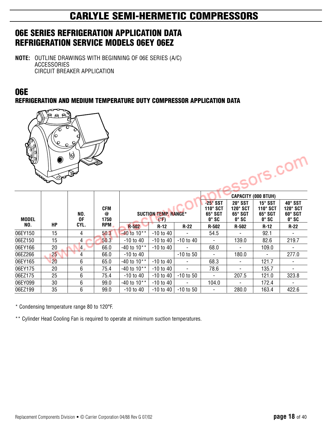### **06E SERIES REFRIGERATION APPLICATION DATA REFRIGERATION SERVICE MODELS 06EY 06EZ**

**NOTE:** OUTLINE DRAWINGS WITH BEGINNING OF 06E SERIES (A/C) ACCESSORIES CIRCUIT BREAKER APPLICATION

### **06E**

**REFRIGERATION AND MEDIUM TEMPERATURE DUTY COMPRESSOR APPLICATION DATA**



| <b>RADIO</b> | 0<br>ঔ | Q              |                  |                 |                                     |               |                                                        |                                                       |                                                              | .ors.com                                       |
|--------------|--------|----------------|------------------|-----------------|-------------------------------------|---------------|--------------------------------------------------------|-------------------------------------------------------|--------------------------------------------------------------|------------------------------------------------|
|              |        |                |                  |                 |                                     |               |                                                        |                                                       | <b>CAPACITY (000 BTUH)</b>                                   |                                                |
| <b>MODEL</b> |        | NO.<br>0F      | CFM<br>@<br>1750 |                 | <b>SUCTION TEMP. RANGE*</b><br>(°F) |               | $-25^\circ$ SST<br>110° SCT<br>65° SGT<br>$0^\circ$ SC | 20° SST<br>$120^\circ$ SCT<br>65° SGT<br>$0^\circ$ SC | 15° SST<br>$110^\circ$ SCT<br>$65^\circ SGT$<br>$0^\circ$ SC | 40° SST<br>120° SCT<br>60° SGT<br>$0^\circ$ SC |
| NO.          | HР     | CYL.           | RPM,             | <b>R-502</b>    | $R-12$                              | $R-22$        | R-502                                                  | R-502                                                 | $R-12$                                                       | $R-22$                                         |
| 06EY150      | 15     | 4              | 50.3             | $-40$ to 10**   | $-10$ to $40$                       |               | 54.5                                                   |                                                       | 92.1                                                         |                                                |
| 06EZ150      | 15     | $\overline{A}$ | 50.3             | $-10$ to $40$   | $-10$ to 40                         | $-10$ to $40$ |                                                        | 139.0                                                 | 82.6                                                         | 219.7                                          |
| 06EY166      | 20     | $\overline{4}$ | 66.0             | $-40$ to $10**$ | $-10$ to $40$                       |               | 68.0                                                   | ۰                                                     | 109.0                                                        |                                                |
| 06EZ266      | 25     | 4              | 66.0             | $-10$ to $40$   |                                     | $-10$ to 50   | ٠                                                      | 180.0                                                 | ۰                                                            | 277.0                                          |
| 06EY165      | 20     | 6              | 65.0             | $-40$ to $10**$ | $-10$ to $40$                       |               | 68.3                                                   | ۰                                                     | 121.7                                                        |                                                |
| 06EY175      | 20     | 6              | 75.4             | $-40$ to $10**$ | $-10$ to $40$                       |               | 78.6                                                   |                                                       | 135.7                                                        |                                                |
| 06EZ175      | 25     | 6              | 75.4             | $-10$ to $40$   | $-10$ to $40$                       | $-10$ to $50$ | $\overline{\phantom{a}}$                               | 207.5                                                 | 121.0                                                        | 323.8                                          |
| 06EY099      | 30     | 6              | 99.0             | -40 to 10**     | $-10$ to 40                         |               | 104.0                                                  | ۰                                                     | 172.4                                                        |                                                |
| 06EZ199      | 35     | 6              | 99.0             | $-10$ to $40$   | -10 to 40                           | $-10$ to 50   |                                                        | 280.0                                                 | 163.4                                                        | 422.6                                          |

\* Condensing temperature range 80 to 120°F.

\*\* Cylinder Head Cooling Fan is required to operate at minimum suction temperatures.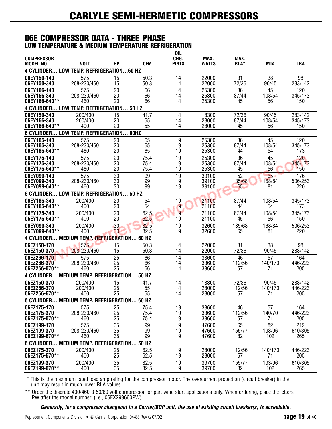#### **06E COMPRESSOR DATA - THREE PHASE LOW TEMPERATURE & MEDIUM TEMPERATURE REFRIGERATION**

| <b>COMPRESSOR</b><br><b>MODEL NO.</b>       | <b>VOLT</b>                       | HP | <b>CFM</b> | <b>OIL</b><br>CHG.<br><b>PINTS</b> | MAX.<br><b>WATTS</b> | MAX.<br>RLA* | <b>MTA</b> | LRA     |
|---------------------------------------------|-----------------------------------|----|------------|------------------------------------|----------------------|--------------|------------|---------|
| <b>4 CYLINDER</b>                           | LOW TEMP. REFRIGERATION60 HZ      |    |            |                                    |                      |              |            |         |
| 06EY150-140                                 | 575                               | 15 | 50.3       | 14                                 | 22000                | 31           | 38         | 98      |
| 06EY150-340                                 | 208-230/460                       | 15 | 50.3       | 14                                 | 22000                | 72/36        | 90/45      | 283/142 |
| 06EY166-140                                 | 575                               | 20 | 66         | 14                                 | 25300                | 36           | 45         | 120     |
| 06EY166-340                                 | 208-230/460                       | 20 | 66         | 14                                 | 25300                | 87/44        | 108/54     | 345/173 |
| 06EY166-640**                               | 460                               | 20 | 66         | 14                                 | 25300                | 45           | 56         | 150     |
| <b>4 CYLINDER LOW TEMP. REFRIGERATION</b>   |                                   |    | 50 HZ      |                                    |                      |              |            |         |
| 06EY150-340                                 | 200/400                           | 15 | 41.7       | 14                                 | 18300                | 72/36        | 90/45      | 283/142 |
| 06EY166-340                                 | 200/400                           | 20 | 55         | 14                                 | 28000                | 87/44        | 108/54     | 345/173 |
| 06EY166-640**                               | 400                               | 20 | 55         | 14                                 | 28000                | 45           | 56         | 150     |
| 6 CYLINDER                                  | LOW TEMP. REFRIGERATION           |    | 60HZ       |                                    |                      |              |            |         |
| 06EY165-140                                 | 575                               | 20 | 65         | 19                                 | 25300                | 36           | 45         | 120     |
| 06EY165-340                                 | 208-230/460                       | 20 | 65         | 19                                 | 25300                | 87/44        | 108/54     | 345/173 |
| 06EY165-640**                               | 460                               | 20 | 65         | 19                                 | 25300                | 44           | 54         | 173     |
| 06EY175-140                                 | 575                               | 20 | 75.4       | 19                                 | 25300                | 36           | 45         | 120     |
| 06EY175-340                                 | 208-230/460                       | 20 | 75.4       | 19                                 | 25300                | 87/44        | 108/54     | 345/173 |
| 06EY175-640**                               | 460                               | 20 | 75.4       | 19                                 | 25300                | 45           | 56         | 150     |
| 06EY099-140                                 | 575                               | 30 | 99         | 19                                 | 39100                | 52           | $65-$      | 176     |
| 06EY099-340                                 | 208-230/460                       | 30 | 99         | 19                                 | 39100                | 135/68       | 168/84     | 506/253 |
| 06EY099-640**                               | 460                               | 30 | 99         | 19                                 | 39100                | 65           | 81         | 220     |
| 6 CYLINDER LOW TEMP. REFRIGERATION          |                                   |    | 50 HZ      |                                    |                      |              |            |         |
| 06EY165-340                                 | 200/400                           | 20 | 54         | 19                                 | 21100                | 87/44        | 108/54     | 345/173 |
| 06EY165-640**                               | 400                               | 20 | 54         | 19                                 | 21100                | 44           | 54         | 173     |
| 06EY175-340                                 | 200/400                           | 20 | 62.5       | 19                                 | 21100                | 87/44        | 108/54     | 345/173 |
| 06EY175-640**                               | 400                               | 20 | 62.5       | 19                                 | 21100                | 45           | 56         | 150     |
| 06EY099-340                                 | 200/400                           | 30 | 825        | 19                                 | 32600                | 135/68       | 168/84     | 506/253 |
| 06EY099-640**                               | 400                               | 30 | 82.5       | 19                                 | 32600                | 65           | 81         | 220     |
| <b>4 CYLINDER</b>                           | <b>MEDIUM TEMP. REFRIGERATION</b> |    | 60 HZ      |                                    |                      |              |            |         |
| 06EZ150-170                                 | 575                               | 15 | 50.3       | 14                                 | 22000                | 31           | 38         | 98      |
| 06EZ150-370                                 | 208-230/460                       | 15 | 50.3       | 14                                 | 22000                | 72/36        | 90/45      | 283/142 |
| 06EZ266-170                                 | 575                               | 25 | 66         | 14                                 | 33600                | 46           | 57         | 164     |
| 06EZ266-370                                 | 208-230/460                       | 25 | 66         | 14                                 | 33600                | 112/56       | 140/170    | 446/223 |
| 06EZ266-670**                               | 460                               | 25 | 66         | 14                                 | 33600                | 57           | 71         | 205     |
| 4 CYLINDER MEDIUM TEMP. REFRIGERATION 50 HZ |                                   |    |            |                                    |                      |              |            |         |
| 06EZ150-370                                 | 200/400                           | 15 | 41.7       | 14                                 | 18300                | 72/36        | 90/45      | 283/142 |
| 06EZ266-370                                 | 200/400                           | 25 | 55         | 14                                 | 28000                | 112/56       | 140/170    | 446/223 |
| 06EZ266-670**                               | 400                               | 25 | 55         | 14                                 | 28000                | 57           | 71         | 205     |
| 6 CYLINDER MEDIUM TEMP. REFRIGERATION 60 HZ |                                   |    |            |                                    |                      |              |            |         |
| 06EZ175-170                                 | 575                               | 25 | 75.4       | 19                                 | 33600                | 46           | 57         | 164     |
| 06EZ175-370                                 | 208-230/460                       | 25 | 75.4       | 19                                 | 33600                | 112/56       | 140/70     | 446/223 |
| 06EZ175-670**                               | 460                               | 25 | 754        | 19                                 | 33600                | 57           | 71         | 205     |
| 06EZ199-170                                 | 575                               | 35 | 99         | 19                                 | 47600                | 65           | 82         | 212     |
| 06EZ199-370                                 | 208-230/460                       | 35 | 99         | 19                                 | 47600                | 155/77       | 193/96     | 610/305 |
| 06EZ199-670**                               | 460                               | 35 | 99         | 19                                 | 47600                | 82           | 102        | 265     |
| 6 CYLINDER MEDIUM TEMP. REFRIGERATION 50 HZ |                                   |    |            |                                    |                      |              |            |         |
| 06EZ175-370                                 | 200/400                           | 25 | 62.5       | 19                                 | 28000                | 112/56       | 140/170    | 446/223 |
| 06EZ175-670**                               | 400                               | 25 | 62.5       | 19                                 | 28000                | 57           | 71         | 205     |
| 06EZ199-370                                 | 200/400                           | 35 | 82.5       | 19                                 | 39700                | 155/77       | 193/96     | 610/305 |
| 06EZ199-670**                               | 400                               | 35 | 82 5       | 19                                 | 39700                | 82           | 102        | 265     |

\* This is the maximum rated load amp rating for the compressor motor. The overcurrent protection (circuit breaker) in the unit may result in much lower RLA values.

\*\* Order the discrete 400/460-3-50/60 volt compressor for part wind start applications only. When ordering, place the letters PW after the model number, (i.e., 06EX299660PW)

*Generally, for a compressor changeout in a Carrier/BDP unit, the use of existing circuit breaker(s) is acceptable.*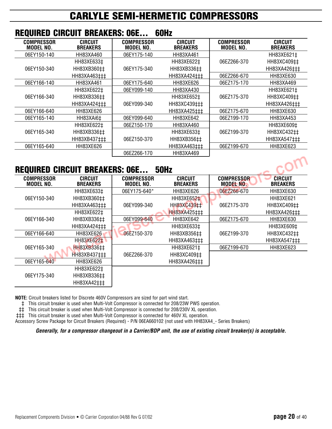|                                       | REQUIRED GIRGUIT BREARERS. UDE    |                                       | UUNZ                              |                                       |                                   |
|---------------------------------------|-----------------------------------|---------------------------------------|-----------------------------------|---------------------------------------|-----------------------------------|
| <b>COMPRESSOR</b><br><b>MODEL NO.</b> | <b>CIRCUIT</b><br><b>BREAKERS</b> | <b>COMPRESSOR</b><br><b>MODEL NO.</b> | <b>CIRCUIT</b><br><b>BREAKERS</b> | <b>COMPRESSOR</b><br><b>MODEL NO.</b> | <b>CIRCUIT</b><br><b>BREAKERS</b> |
| 06EY150-140                           | HH83XA460                         | 06EY175-140                           | HH83XA461                         |                                       | HH83XE621‡                        |
|                                       | HH83XE633‡                        |                                       | HH83XE622‡                        | 06EZ266-370                           | HH83XC409‡‡                       |
| 06EY150-340                           | HH83XB360‡‡                       | 06EY175-340                           | HH83XB336##                       |                                       | HH83XA426‡‡‡                      |
|                                       | HH83XA463‡‡‡                      |                                       | HH83XA424‡‡‡                      | 06EZ266-670                           | HH83XE630                         |
| 06EY166-140                           | HH83XA461                         | 06EY175-640                           | <b>HH83XE626</b>                  | 06EZ175-170                           | HH83XA469                         |
|                                       | HH83XE622‡                        | 06EY099-140                           | HH83XA430                         |                                       | HH83XE621‡                        |
| 06EY166-340                           | HH83XB336‡‡                       |                                       | HH83XE652‡                        | 06EZ175-370                           | HH83XC409‡‡                       |
|                                       | HH83XA424‡‡‡                      | 06EY099-340                           | HH83XC439‡‡‡                      |                                       | HH83XA426‡‡‡                      |
| 06EY166-640                           | HH83XE626                         |                                       | HH83XA425‡‡‡                      | 06EZ175-670                           | HH83XE630                         |
| 06EY165-140                           | HH83XAi6‡                         | 06EY099-640                           | HH83XE642                         | 06EZ199-170                           | HH83XA453                         |
|                                       | HH83XE622‡                        | 06EZ150-170                           | HH83XA460                         |                                       | HH83XE609‡                        |
| 06EY165-340                           | HH83XB336‡‡                       |                                       | HH83XE633‡                        | 06EZ199-370                           | HH83XC432‡‡                       |
|                                       | HH83XB437‡‡‡                      | 06EZ150-370                           | HH83XB356##                       |                                       | HH83XA547‡‡‡                      |
| 06EY165-640                           | HH83XE626                         |                                       | HH83XA463‡‡‡                      | 06EZ199-670                           | HH83XE623                         |
|                                       |                                   | 06EZ266-170                           | HH83XA469                         |                                       |                                   |

### **REQUIRED CIRCUIT BREAKERS: 06E... 60Hz**

### **REQUIRED CIRCUIT BREAKERS: 06E... 50Hz**

| <b>REQUIRED CIRCUIT BREAKERS: 06E</b> |                                   |                                | <b>50Hz</b>                       |                                |                                   |
|---------------------------------------|-----------------------------------|--------------------------------|-----------------------------------|--------------------------------|-----------------------------------|
| <b>COMPRESSOR</b><br><b>MODEL NO.</b> | <b>CIRCUIT</b><br><b>BREAKERS</b> | <b>COMPRESSOR</b><br>MODEL NO. | <b>CIRCUIT</b><br><b>BREAKERS</b> | <b>COMPRESSOR</b><br>MODEL NO. | <b>CIRCUIT</b><br><b>BREAKERS</b> |
|                                       | HH83XE633‡                        | 06EY175-640*                   | HH83XE626                         | 06EZ266-670                    | HH83XE630                         |
| 06EY150-340                           | HH83XB360‡‡                       |                                | HH83XE652 <sup>+</sup>            |                                | HH83XE621                         |
|                                       | HH83XA463‡‡‡                      | 06EY099-340                    | HH83XC439‡‡                       | 06EZ175-370                    | HH83XC409‡‡                       |
|                                       | HH83XE622‡                        |                                | HH83XA425‡‡‡                      |                                | HH83XA426‡‡‡                      |
| 06EY166-340                           | HH83XB336##                       | 06EY099-640                    | <b>HH83XE642</b>                  | 06EZ175-670                    | HH83XE630                         |
|                                       | HH83XA424‡‡‡                      |                                | HH83XE633‡                        |                                | HH83XE609‡                        |
| 06EY166-640                           | HH83XE626                         | 06EZ150-370                    | HH83XB356‡‡                       | 06EZ199-370                    | HH83XC432‡‡                       |
|                                       | HH83XE622‡                        |                                | HH83XA463‡‡‡                      |                                | HH83XA547‡‡‡                      |
| 06EY165-340                           | HH83XB336##                       |                                | HH83XE621‡                        | 06EZ199-670                    | HH83XE623                         |
|                                       | HH83XB437‡‡‡                      | 06EZ266-370                    | HH83XC409‡‡                       |                                |                                   |
| 06EY165-640                           | HH83XE626                         |                                | HH83XA426‡‡‡                      |                                |                                   |
|                                       | HH83XE622‡                        |                                |                                   |                                |                                   |
| 06EY175-340                           | HH83XB336##                       |                                |                                   |                                |                                   |
|                                       | HH83XA42‡‡‡                       |                                |                                   |                                |                                   |

**NOTE:** Circuit breakers listed for Discrete 460V Compressors are sized for part wind start.

‡ This circuit breaker is used when Multi-Volt Compressor is connected for 208/23W PWS operation.

‡‡ This circuit breaker is used when Multi-Volt Compressor is connected for 208/230V XL operation.

‡‡‡ This circuit breaker is used when Multi-Volt Compressor is connected for 460V XL operation.

Accessory Screw Package for Circuit Breakers (Required) - P/N 06EA660102 (not used with HH83XA4\_- Series Breakers)

*Generally, for a compressor changeout in a Carrier/BDP unit, the use of existing circuit breaker(s) is acceptable.*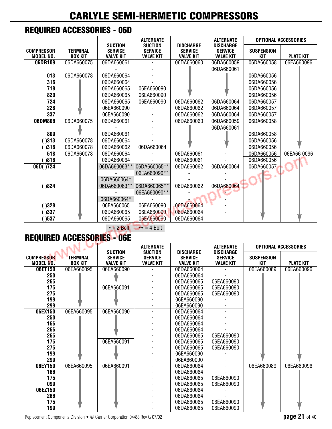### **REQUIRED ACCESSORIES - 06D**

|                                   |                                   |                                                      | <b>ALTERNATE</b>                                     |                                                        | <b>ALTERNATE</b>                                       | <b>OPTIONAL ACCESSORIES</b>     |                  |  |
|-----------------------------------|-----------------------------------|------------------------------------------------------|------------------------------------------------------|--------------------------------------------------------|--------------------------------------------------------|---------------------------------|------------------|--|
| <b>COMPRESSOR</b><br>MODEL NO.    | <b>TERMINAL</b><br><b>BOX KIT</b> | <b>SUCTION</b><br><b>SERVICE</b><br><b>VALVE KIT</b> | <b>SUCTION</b><br><b>SERVICE</b><br><b>VALVE KIT</b> | <b>DISCHARGE</b><br><b>SERVICE</b><br><b>VALVE KIT</b> | <b>DISCHARGE</b><br><b>SERVICE</b><br><b>VALVE KIT</b> | <b>SUSPENSION</b><br><b>KIT</b> | <b>PLATE KIT</b> |  |
| 06DR109                           | 06DA660075                        | 06DA660061                                           |                                                      | 06DA660060                                             | 06DA660059                                             | 06DA660058                      | 06EA660096       |  |
|                                   |                                   |                                                      |                                                      |                                                        | 06DA660061                                             |                                 |                  |  |
| 013                               | 06DA660078                        | 06DA660064                                           |                                                      |                                                        |                                                        | 06DA660056                      |                  |  |
| 316                               |                                   | 06DA660064                                           |                                                      |                                                        |                                                        | 06DA660056                      |                  |  |
| 718                               |                                   | 06DA660065                                           | 06EA660090                                           |                                                        |                                                        | 06DA660056                      |                  |  |
| 820                               |                                   | 06DA660065                                           | 06EA660090                                           |                                                        |                                                        | 06DA660056                      |                  |  |
| 724                               |                                   | 06DA660065                                           | 06EA660090                                           | 06DA660062                                             | 06DA660064                                             | 06DA660057                      |                  |  |
| 228                               |                                   | 06EA660090                                           |                                                      | 06DA660062                                             | 06DA660064                                             | 06DA660057                      |                  |  |
| 337                               |                                   | 06EA660090                                           |                                                      | 06DA660062                                             | 06DA660064                                             | 06DA660057                      |                  |  |
| 06DM808                           | 06DA660075                        | 06DA660061                                           |                                                      | 06DA660060                                             | 06DA660059                                             | 06DA660058                      |                  |  |
|                                   |                                   |                                                      |                                                      |                                                        | 06DA660061                                             |                                 |                  |  |
| 809                               |                                   | 06DA660061                                           |                                                      |                                                        |                                                        | 06DA660058                      |                  |  |
| )313                              | 06DA660078                        | 06DA660064                                           |                                                      |                                                        |                                                        | 06DA660056                      |                  |  |
| ()316                             | 06DA660078                        | 06DA660062                                           | 06DA660064                                           |                                                        |                                                        | 06DA660056                      |                  |  |
| 518                               | 06DA660078                        | 06DA660064                                           |                                                      | 06DA660061                                             |                                                        | 06DA660056                      | 06EA66 0096      |  |
| )818                              |                                   | 06DA660064                                           |                                                      | 06DA660061                                             |                                                        | 06DA660056                      |                  |  |
| 06D()724                          |                                   | 06DA660063**                                         | 06DA660065**                                         | 06DA660062                                             | 06DA660064                                             | 06DA660057                      |                  |  |
|                                   |                                   |                                                      | 06EA660090**                                         |                                                        |                                                        |                                 |                  |  |
|                                   |                                   | 06DA660064*                                          |                                                      |                                                        |                                                        |                                 |                  |  |
| )824                              |                                   | 06DA660063**                                         | 06DA660065**                                         | 06DA660062                                             | 06DA660064                                             |                                 |                  |  |
|                                   |                                   |                                                      | 06EA660090**                                         |                                                        |                                                        |                                 |                  |  |
|                                   |                                   | 06DA660064*                                          |                                                      |                                                        |                                                        |                                 |                  |  |
| )328                              |                                   | 06EA660065                                           | 06EA660090                                           | 06DA660064                                             |                                                        |                                 |                  |  |
| )337                              |                                   | 06DA660065                                           | 06EA660090                                           | 06DA660064                                             |                                                        |                                 |                  |  |
| )537                              |                                   | 06DA660065                                           | 06EA660090                                           | 06DA660064                                             |                                                        |                                 |                  |  |
| $\star$ = 2 Bolt<br>$** = 4$ Bolt |                                   |                                                      |                                                      |                                                        |                                                        |                                 |                  |  |

### **REQUIRED ACCESSORIES - 06E**

|                                       |                                   |                                                      |                                                      |                                                        | <b>ALTERNATE</b>                                       | <b>OPTIONAL ACCESSORIES</b>     |                  |
|---------------------------------------|-----------------------------------|------------------------------------------------------|------------------------------------------------------|--------------------------------------------------------|--------------------------------------------------------|---------------------------------|------------------|
| <b>COMPRESSOR</b><br><b>MODEL NO.</b> | <b>TERMINAL</b><br><b>BOX KIT</b> | <b>SUCTION</b><br><b>SERVICE</b><br><b>VALVE KIT</b> | <b>SUCTION</b><br><b>SERVICE</b><br><b>VALVE KIT</b> | <b>DISCHARGE</b><br><b>SERVICE</b><br><b>VALVE KIT</b> | <b>DISCHARGE</b><br><b>SERVICE</b><br><b>VALVE KIT</b> | <b>SUSPENSION</b><br><b>KIT</b> | <b>PLATE KIT</b> |
| 06ET150                               | 06EA660095                        | 06EA660090                                           |                                                      | 06DA660064                                             |                                                        | 06EA660089                      | 06EA660096       |
| 250                                   |                                   |                                                      |                                                      | 06DA660064                                             |                                                        |                                 |                  |
| 265                                   |                                   |                                                      |                                                      | 06DA660065                                             | 06EA660090                                             |                                 |                  |
| 175                                   |                                   | 06EA660091                                           |                                                      | 06DA660065                                             | 06EA660090                                             |                                 |                  |
| 275                                   |                                   |                                                      |                                                      | 06DA660065                                             | 06EA660090                                             |                                 |                  |
| 199                                   |                                   |                                                      |                                                      | 06EA660090                                             |                                                        |                                 |                  |
| 299                                   |                                   |                                                      |                                                      | 06EA660090                                             |                                                        |                                 |                  |
| 06EX150                               | 06EA660095                        | 06EA660090                                           |                                                      | 06DA660064                                             |                                                        |                                 |                  |
| 250                                   |                                   |                                                      |                                                      | 06DA660064                                             |                                                        |                                 |                  |
| 166                                   |                                   |                                                      |                                                      | 06DA660064                                             |                                                        |                                 |                  |
| 266                                   |                                   |                                                      |                                                      | 06DA660064                                             |                                                        |                                 |                  |
| 265                                   |                                   |                                                      |                                                      | 06DA660065                                             | 06EA660090                                             |                                 |                  |
| 175                                   |                                   | 06EA660091                                           |                                                      | 06DA660065                                             | 06EA660090                                             |                                 |                  |
| 275                                   |                                   |                                                      |                                                      | 06DA660065                                             | 06EA660090                                             |                                 |                  |
| 199                                   |                                   |                                                      |                                                      | 06EA660090                                             |                                                        |                                 |                  |
| 299                                   |                                   |                                                      |                                                      | 06EA660090                                             |                                                        |                                 |                  |
| 06EY150                               | 06EA660095                        | 06EA660091                                           |                                                      | 06DA660064                                             |                                                        | 06EA660089                      | 06EA660096       |
| 166                                   |                                   |                                                      |                                                      | 06DA660064                                             |                                                        |                                 |                  |
| 175                                   |                                   |                                                      |                                                      | 06DA660065                                             | 06EA660090                                             |                                 |                  |
| 099                                   |                                   |                                                      |                                                      | 06DA660065                                             | 06EA660090                                             |                                 |                  |
| 06EZ150                               |                                   |                                                      |                                                      | 06DA660064                                             |                                                        |                                 |                  |
| 266                                   |                                   |                                                      |                                                      | 06DA660064                                             |                                                        |                                 |                  |
| 175                                   |                                   |                                                      |                                                      | 06DA660065                                             | 06EA660090                                             |                                 |                  |
| 199                                   |                                   |                                                      |                                                      | 06DA660065                                             | 06EA660090                                             |                                 |                  |

Replacement Components Division • © Carrier Corporation 04/88 Rev G 07/02 **page 21 of 40 page 21 of 40**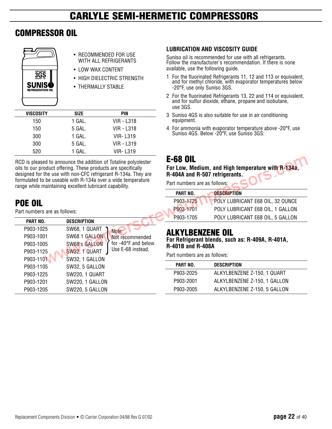## **COMPRESSOR OIL**

| <b>OEM APPROVED</b><br>VISCOSITY 150<br>SUNIS |
|-----------------------------------------------|
| <b>REFRIGERATION OIL</b>                      |

- RECOMMENDED FOR USE WITH ALL REFRIGERANTS • LOW WAX CONTENT
- HIGH DIELECTRIC STRENGTH
- THERMALLY STABLE

| <b>VISCOSITY</b> | <b>SIZE</b> | PIN        |  |
|------------------|-------------|------------|--|
| 150              | 1 GAL.      | VIR - L318 |  |
| 150              | 5 GAL.      | VIR - L318 |  |
| 300              | 1 GAL.      | VIR-L319   |  |
| 300              | 5 GAL.      | VIR - L319 |  |
| 520              | 1 GAI .     | VIR- L319  |  |
|                  |             |            |  |

RCD is pleased to announce the addition of Totaline polyolester oils to our product offering. These products are specifically designed for the use with non-CFC refrigerant R-134a. They are formulated to be useable with R-134a over a wide temperature range while maintaining excellent lubricant capability.

## **POE OIL**

Part numbers are as follows:

| <b>PART NO.</b> | <b>DESCRIPTION</b>    |                      |
|-----------------|-----------------------|----------------------|
| P903-1025       | SW68, 1 QUART         | Note:                |
| P903-1001       | SW68 1 GALLON         | Not recommended      |
| P903-1005       | SW68's GALLON         | for -40°F and below. |
| P903-1125       | SW32, 1 QUART         | Use E-68 instead.    |
| P903-1101       | SW32, 1 GALLON        |                      |
| P903-1105       | SW32, 5 GALLON        |                      |
| P903-1225       | <b>SW220, 1 QUART</b> |                      |
| P903-1201       | SW220, 1 GALLON       |                      |
| P903-1205       | SW220, 5 GALLON       |                      |

#### **LUBRICATION AND VISCOSITY GUIDE**

Suniso oil is recommended for use with all refrigerants. Follow the manufacturer's recommendation. If there is none available, use the following guide.

- 1 For the fluorinated Refrigerants 11, 12 and 113 or equivalent, and for methyl chloride, with evaporator temperatures below -20°F, use only Suniso 3GS.
- 2 For the fluorinated Refrigerants 13, 22 and 114 or equivalent, and for sulfur dioxide, ethane, propane and isobutane, use 3GS.
- 3 Suniso 4GS is also suitable for use in air conditioning equipment.
- 4 For ammonia with evaporator temperature above -20°F, use Suniso 4GS. Below -20°F, use Suniso 3GS:

### **E-68 OIL**

ہ۔

**For Low, Medium, and High temperature with R-134a, R-404A and R-507 refrigerants.**

Part numbers are as follows:

| PART NO.  | <b>DESCRIPTION</b>               |
|-----------|----------------------------------|
| P903-1725 | POLY LUBRICANT E68 OIL, 32 OUNCE |
| P903-1701 | POLY LUBRICANT E68 OIL, 1 GALLON |
| P903-1705 | POLY LUBRICANT E68 OIL, 5 GALLON |

### **ALKYLBENZENE OIL**

**For Refrigerant blends, such as: R-409A, R-401A, R-401B and R-408A** 

Part numbers are as follows:

| PART NO.  | <b>DESCRIPTION</b>           |  |
|-----------|------------------------------|--|
| P903-2025 | ALKYLBENZENE Z-150, 1 QUART  |  |
| P903-2001 | ALKYLBENZENE Z-150, 1 GALLON |  |
| P903-2005 | ALKYLBENZENE Z-150, 5 GALLON |  |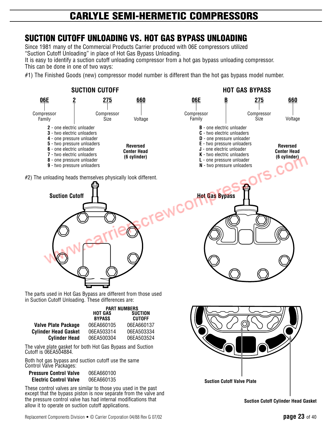### **SUCTION CUTOFF UNLOADING VS. HOT GAS BYPASS UNLOADING**

Since 1981 many of the Commercial Products Carrier produced with 06E compressors utilized "Suction Cutoff Unloading" in place of Hot Gas Bypass Unloading.

It is easy to identify a suction cutoff unloading compressor from a hot gas bypass unloading compressor. This can be done in one of two ways:

#1) The Finished Goods (new) compressor model number is different than the hot gas bypass model number.

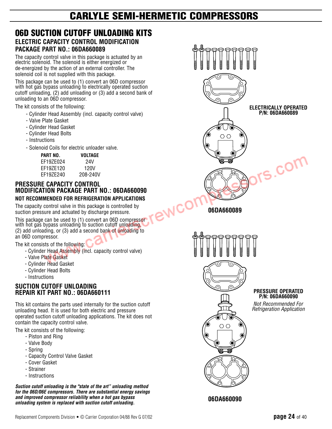#### **06D SUCTION CUTOFF UNLOADING KITS ELECTRIC CAPACITY CONTROL MODIFICATION PACKAGE PART NO.: 06DA660089**

The capacity control valve in this package is actuated by an electric solenoid. The solenoid is either energized or de-energized by the action of an external controller. The solenoid coil is not supplied with this package.

This package can be used to (1) convert an 06D compressor with hot gas bypass unloading to electrically operated suction cutoff unloading, (2) add unloading or (3) add a second bank of unloading to an 06D compressor.

The kit consists of the following:

- Cylinder Head Assembly (incl. capacity control valve)
- Valve Plate Gasket
- Cylinder Head Gasket
- Cylinder Head Bolts
- Instructions
- Solenoid Coils for electric unloader valve.

| PART NO.  | VOLTAGE  |
|-----------|----------|
| FF19ZE024 | 24V      |
| FF19ZE120 | 120V     |
| FF197F240 | 208-240V |

#### **PRESSURE CAPACITY CONTROL MODIFICATION PACKAGE PART NO.: 06DA660090 NOT RECOMMENDED FOR REFRIGERATION APPLICATIONS**

The capacity control valve in this package is controlled by suction pressure and actuated by discharge pressure.

This package can be used to (1) convert an 06D compressor with hot gas bypass unloading to suction cutoff unloading, (2) add unloading, or (3) add a second bank of unloading to an 06D compressor.

The kit consists of the following:

- Cylinder Head Assembly (incl. capacity control valve)
- Valve Plate Gasket
- Cylinder Head Gasket
- Cylinder Head Bolts
- Instructions

#### **SUCTION CUTOFF UNLOADING REPAIR KIT PART NO.: 06DA660111**

This kit contains the parts used internally for the suction cutoff unloading head. It is used for both electric and pressure operated suction cutoff unloading applications. The kit does not contain the capacity control valve.

The kit consists of the following:

- Piston and Ring
- Valve Body
- Spring
- Capacity Control Valve Gasket
- Cover Gasket
- Strainer
- Instructions

*Suction cutoff unloading is the "state of the art" unloading method for the 06D/06E compressors. There are substantial energy savings and improved compressor reliability when a hot gas bypass unloading system is replaced with suction cutoff unloading.*



**06DA660090**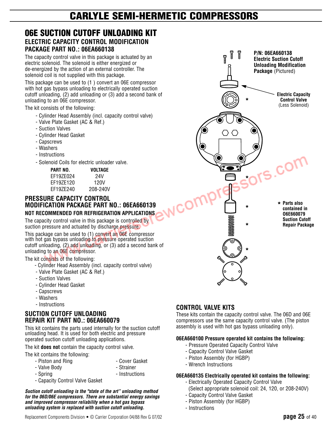#### **06E SUCTION CUTOFF UNLOADING KIT ELECTRIC CAPACITY CONTROL MODIFICATION PACKAGE PART NO.: 06EA660138**

The capacity control valve in this package is actuated by an electric solenoid. The solenoid is either energized or de-energized by the action of an external controller. The solenoid coil is not supplied with this package.

This package can be used to (1 ) convert an 06E compressor with hot gas bypass unloading to electrically operated suction cutoff unloading, (2) add unloading or (3) add a second bank of unloading to an 06E compressor.

The kit consists of the following:

- Cylinder Head Assembly (incl. capacity control valve)
- Valve Plate Gasket (AC & Ref.)
- Suction Valves
- Cylinder Head Gasket
- Capscrews
- Washers
- Instructions
- Solenoid Coils for electric unloader valve.

| PART NO.  | VOLTAGE  |
|-----------|----------|
| FF197F024 | 24V      |
| EF19ZE120 | 120V     |
| FF197F240 | 208-240V |

#### **PRESSURE CAPACITY CONTROL MODIFICATION PACKAGE PART NO.: 06EA660139 NOT RECOMMENDED FOR REFRIGERATION APPLICATIONS**

The capacity control valve in this package is controlled by suction pressure and actuated by discharge pressure.

This package can be used to (1) convert an 06E compressor with hot gas bypass unloading to pressure operated suction cutoff unloading, (2) add unloading, or (3) add a second bank of unloading to an O6E compressor.

#### The kit consists of the following:

- Cylinder Head Assembly (incl. capacity control valve)
- Valve Plate Gasket (AC & Ref.)
- Suction Valves
- Cylinder Head Gasket
- Capscrews
- Washers
- Instructions

#### **SUCTION CUTOFF UNLOADING REPAIR KIT PART NO.: 06EA660079**

This kit contains the parts used internally for the suction cutoff unloading head. It is used for both electric and pressure operated suction cutoff unloading applications.

The kit **does not** contain the capacity control valve.

The kit contains the following:

- Piston and Ring  **Cover Gasket**
- Valve Body **Called Accord Contract Called Accord Contract Contract Contract Contract Contract Contract Contract Contract Contract Contract Contract Contract Contract Contract Contract Contract Contract Contract Contract**
- 
- Spring and the set of the set of the set of the set of the set of the set of the set of the set of the set o
- Capacity Control Valve Gasket

*Suction cutoff unloading is the "state of the art" unloading method for the 06D/06E compressors. There are substantial energy savings and improved compressor reliability when a hot gas bypass unloading system is replaced with suction cutoff unloading.*



#### **06EA660100 Pressure operated kit contains the following:**

- Pressure Operated Capacity Control Valve
- Capacity Control Valve Gasket
- Piston Assembly (for HGBP)
- Wrench Instructions

#### **06EA660135 Electrically operated kit contains the following:**

- Electrically Operated Capacity Control Valve
- (Select appropriate solenoid coil: 24, 120, or 208-240V)
- Capacity Control Valve Gasket
- Piston Assembly (for HGBP)
- Instructions

s.com **\* Parts also \* contained in O6E660079 Suction Cutoff Repair Package**

**P/N: 06EA660138 Electric Suction Cutoff Unloading Modification Package** (Pictured)

**\***

Ĩ

**Electric Capacity Control Valve** (Less Solenoid)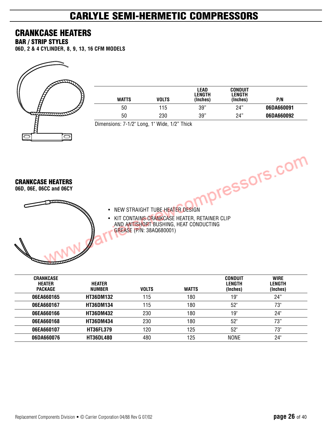### **CRANKCASE HEATERS**

**BAR / STRIP STYLES**

**06D, 2 & 4 CYLINDER, 8, 9, 13, 16 CFM MODELS**



| <b>WATTS</b> | VOLTS | LEAD<br><b>LENGTH</b><br>(Inches) | <b>CONDUIT</b><br>LENGTH<br>(Inches) | P/N        |
|--------------|-------|-----------------------------------|--------------------------------------|------------|
| 50           | 115   | 39"                               | 24"                                  | 06DA660091 |
| 50           | 230   | 39"                               | 24"                                  | 06DA660092 |

Dimensions: 7-1/2" Long, 1" Wide, 1/2" Thick

**CRANKCASE HEATERS**

**06D, 06E, 06CC and 06CY**

**Returned** 

- NEW STRAIGHT TUBE HEATER DESIGN PICSSOTS.COM
- KIT CONTAINS CRANKCASE HEATER, RETAINER CLIP AND ANTISHORT BUSHING, HEAT CONDUCTING GREASE (P/N: 38AQ680001)

| <b>CRANKCASE</b><br><b>HEATER</b><br><b>PACKAGE</b> | <b>HEATER</b><br>NUMBER | <b>VOLTS</b> | <b>WATTS</b> | <b>CONDUIT</b><br>LENGTH<br>(Inches) | <b>WIRE</b><br>LENGTH<br>(Inches) |
|-----------------------------------------------------|-------------------------|--------------|--------------|--------------------------------------|-----------------------------------|
| 06EA660165                                          | <b>HT36DM132</b>        | 115          | 180          | 19"                                  | 24"                               |
| 06EA660167                                          | <b>HT36DM134</b>        | 115          | 180          | 52"                                  | 73"                               |
| 06EA660166                                          | <b>HT36DM432</b>        | 230          | 180          | 19"                                  | 24"                               |
| 06EA660168                                          | <b>HT36DM434</b>        | 230          | 180          | 52"                                  | 73"                               |
| 06EA660107                                          | <b>HT36FL379</b>        | 120          | 125          | 52"                                  | 73"                               |
| 06DA660076                                          | <b>HT36DL480</b>        | 480          | 125          | <b>NONE</b>                          | 24"                               |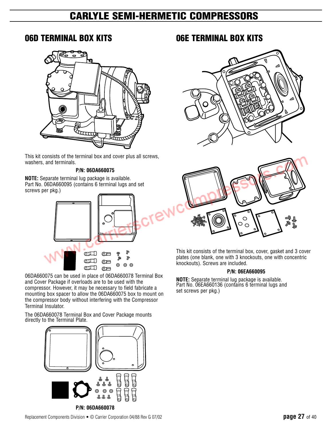### **06D TERMINAL BOX KITS**



This kit consists of the terminal box and cover plus all screws, washers, and terminals.

#### **P/N: 06DA660075**

**NOTE:** Separate terminal lug package is available. Part No. 06DA660095 (contains 6 terminal lugs and set screws per pkg.)



06DA660075 can be used in place of 06DA660078 Terminal Box and Cover Package if overloads are to be used with the compressor. However, it may be necessary to field fabricate a mounting box spacer to allow the 06DA660075 box to mount on the compressor body without interfering with the Compressor Terminal Insulator.

The 06DA660078 Terminal Box and Cover Package mounts directly to the Terminal Plate.



### **06E TERMINAL BOX KITS**





This kit consists of the terminal box, cover, gasket and 3 cover plates (one blank, one with 3 knockouts, one with concentric knockouts). Screws are included.

#### **P/N: 06EA660095**

**NOTE:** Separate terminal lug package is available. Part No. 06EA660136 (contains 6 terminal lugs and set screws per pkg.)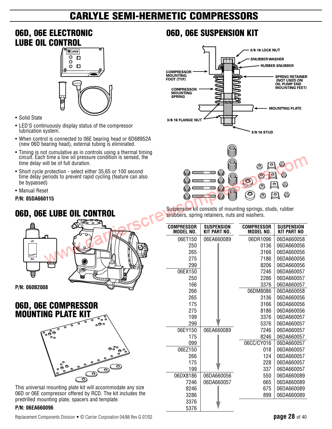### **06D, 06E ELECTRONIC LUBE OIL CONTROL**



- Solid State
- LED'S continuously display status of the compressor lubrication system.
- When control is connected to 06E bearing head or 6D68952A (new 06D bearing head), external tubing is eliminated.
- Timing is not cumulative as in controls using a thermal timing circuit. Each time a low oil pressure condition is sensed, the time delay will be of full duration.
- Short cycle protection select either 35,65 or 100 second time delay periods to prevent rapid cycling (feature can also be bypassed)
- Manual Reset

#### **P/N: 05DA660115**

### **06D, 06E LUBE OIL CONTROL**



### **06D, 06E COMPRESSOR MOUNTING PLATE KIT**



This universal mounting plate kit will accommodate any size 06D or 06E compressor offered by RCD. The kit includes the predrilled mounting plate, spacers and template.

#### **P/N: 06EA660096**

### **06D, 06E SUSPENSION KIT**





Suspension kit consists of mounting springs, studs, rubber snubbers, spring retainers, nuts and washers.

| <b>COMPRESSOR</b><br>MODEL NO. | <b>SUSPENSION</b><br><b>KIT PART NO.</b> | <b>COMPRESSOR</b><br><b>MODEL NO.</b> | <b>SUSPENSION</b><br><b>KIT PART NO</b> |
|--------------------------------|------------------------------------------|---------------------------------------|-----------------------------------------|
| 06ET150                        | 06EA660089                               | 06DR1096                              | 06DA660058                              |
| 250                            |                                          | 0136                                  | 06DA660056                              |
| 265                            |                                          | 3166                                  | 06DA660056                              |
| 275                            |                                          | 7186                                  | 06DA660056                              |
| 299                            |                                          | 8206                                  | 06DA660056                              |
| 06EX150                        |                                          | 7246                                  | 06DA660057                              |
| 250                            |                                          | 2286                                  | 06DA660057                              |
| 166                            |                                          | 3376                                  | 06DA660057                              |
| 266                            |                                          | 06DM8086                              | 06DA660058                              |
| 265                            |                                          | 3136                                  | 06DA660056                              |
| 175                            |                                          | 3166                                  | 06DA660056                              |
| 275                            |                                          | 8186                                  | 06DA660056                              |
| 199                            |                                          | 3376                                  | 06DA660057                              |
| 299                            |                                          | 5376                                  | 06DA660057                              |
| 06EY150                        | 06EA660089                               | 7246                                  | 06DA660057                              |
| 175                            |                                          | 8246                                  | 06DA660057                              |
| 099                            |                                          | 06CC/CY016                            | 06DA660057                              |
| 06EZ150                        |                                          | 018                                   | 06DA660057                              |
| 266                            |                                          | 124                                   | 06DA660057                              |
| 175                            |                                          | 228                                   | 06DA660057                              |
| 199                            |                                          | 337                                   | 06DA660057                              |
| 06DX8186                       | 06DA660056                               | 550                                   | 06DA660089                              |
| 7246                           | 06DA660057                               | 665                                   | 06DA660089                              |
| 8246                           |                                          | 675                                   | 06DA660089                              |
| 3286                           |                                          | 899                                   | 06DA660089                              |
| 3376                           |                                          |                                       |                                         |
| 5376                           |                                          |                                       |                                         |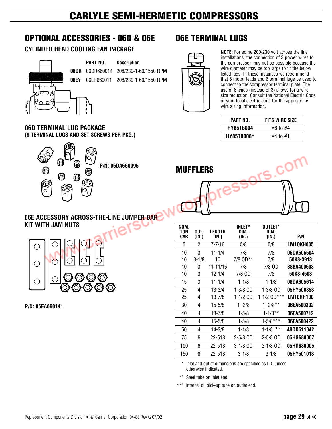### **OPTIONAL ACCESSORIES - 06D & 06E**

#### **CYLINDER HEAD COOLING FAN PACKAGE**



**PART NO. Description**

**06DR** 06DR660014 208/230-1-60/1550 RPM **06EY** 06ER660011 208/230-1-60/1550 RPM



**06E TERMINAL LUGS**

**NOTE:** For some 200/230 volt across the line installations, the connection of 3 power wires to the compressor may not be possible because the wire diameter may be too large to fit the below listed lugs. In these instances we recommend that 6 motor leads and 6 terminal lugs be used to connect to the compressor terminal plate. The use of 6 leads (instead of 3) allows for a wire size reduction. Consult the National Electric Code or your local electric code for the appropriate wire sizing information.

| PART NO.          | <b>FITS WIRE SIZE</b> |  |
|-------------------|-----------------------|--|
| <b>HY85TB004</b>  | #8 to #4              |  |
| <b>HY85TB008*</b> | #4 to #1              |  |

#### **06D TERMINAL LUG PACKAGE (6 TERMINAL LUGS AND SET SCREWS PER PKG.)**





#### **06E ACCESSORY ACROSS-THE-LINE JUMPER BAR KIT WITH JAM NUTS**



**P/N: 06EA660141**

| NOM.<br>TON<br>CAR | 0.D.<br>(IN.) | LENGTH<br>(IN.) | <b>INLET*</b><br>DIM.<br>(IN.) | OUTLET*<br>DIM.<br>(IN.) | P/N               |
|--------------------|---------------|-----------------|--------------------------------|--------------------------|-------------------|
|                    |               |                 |                                |                          |                   |
| 5                  | 2             | 7-7/16          | 5/8                            | 5/8                      | LM10KH005         |
| 10                 | 3             | 11-1/4          | 7/8                            | 7/8                      | 06DA605604        |
| 10                 | $3 - 1/8$     | 10              | 7/8 OD**                       | 7/8                      | 50K8-3913         |
| 10                 | 3             | 11-11/16        | 7/8                            | 7/8 OD                   | 38BA400603        |
| 10                 | 3             | 12-1/4          | 7/8 OD                         | 7/8                      | 50K8-4503         |
| 15                 | 3             | $11 - 1/4$      | $1 - 1/8$                      | $1 - 1/8$                | 06DA605614        |
| 25                 | 4             | $13 - 3/4$      | 1-3/8 OD                       | 1-3/8 OD                 | 05HY500853        |
| 25                 | 4             | 13-7/8          | 1-1/2 OD                       | 1-1/2 OD***              | LM10HH100         |
| 30                 | 4             | 15-5/8          | $1 - 3/8$                      | $1 - 3/8**$              | 06EA500302        |
| 40                 | 4             | $13 - 7/8$      | $1 - 5/8$                      | $1 - 1/8$ **             | 06EA500712        |
| 40                 | 4             | $15 - 5/8$      | $1 - 5/8$                      | $1 - 5/8$ ***            | 06EA500422        |
| 50                 | 4             | 14-3/8          | $1 - 1/8$                      | $1 - 1/8$ ***            | 48DD511042        |
| 75                 | 6             | 22-518          | $2 - 5/8$ OD                   | $2 - 5/8$ OD             | 05HG680007        |
| 100                | 6             | 22-518          | 3-1/8 OD                       | $3-1/8$ OD               | <b>05HG680005</b> |
| 150                | 8             | 22-518          | $3 - 1/8$                      | $3 - 1/8$                | 05HY501013        |

Inlet and outlet dimensions are specified as I.D. unless otherwise indicated.

\*\* Steel tube on inlet end.

\*\*\* Internal oil pick-up tube on outlet end.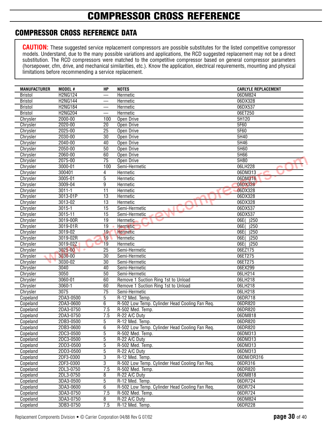## **COMPRESSOR CROSS REFERENCE**

### **COMPRESSOR CROSS REFERENCE DATA**

| <b>MANUFACTURER</b> | MODEL #        | HP                       | <b>NOTES</b>                                   | <b>CARLYLE REPLACEMENT</b> |
|---------------------|----------------|--------------------------|------------------------------------------------|----------------------------|
| <b>Bristol</b>      | <b>H2NG124</b> |                          | Hermetic                                       | 06DM824                    |
| <b>Bristol</b>      | <b>H2NG144</b> |                          | Hermetic                                       | 06DX328                    |
| <b>Bristol</b>      | H2NG184        |                          | Hermetic                                       | 06DX537                    |
| <b>Bristol</b>      | <b>H2NG204</b> | $\overline{\phantom{0}}$ | Hermetic                                       | 06ET250                    |
| Chrysler            | $2000 - 00$    | 100                      | Open Drive                                     | 5H120                      |
| Chrysler            | 2020-00        | 20                       | Open Drive                                     | 5F60                       |
| Chrysler            | $2025 - 00$    | $\overline{25}$          | Open Drive                                     | 5F60                       |
| Chrysler            | 2030-00        | $\overline{30}$          | Open Drive                                     | 5H40                       |
| Chrysler            | 2040-00        | 40                       | Open Drive                                     | 5H46                       |
| Chrysler            | 2050-00        | 50                       | Open Drive                                     | 5H60                       |
| Chrysler            | 2060-00        | 60                       | Open Drive                                     | 5H66                       |
| Chrysler            | 2075-00        | $\overline{75}$          | Open Drive                                     | 5H80                       |
| Chrysler            | 3000-01        | 100                      | Semi-Hermetic                                  | 06LH228                    |
| Chrysler            | 300401         | 4                        | Hermetic                                       | 06DM313                    |
| Chrysler            | 3005-01        | 5                        | Hermetic                                       | 06DM316<br>ب               |
| Chrysler            | 3009-04        | 9                        | Hermetic                                       | 06DX328                    |
| Chrysler            | $3011 - 1$     | $\overline{11}$          | Hermetic                                       | 06DX328                    |
| Chrysler            | 3013-01P       | $\overline{13}$          | Hermetic                                       | 06DX328                    |
| Chrysler            | 3013-02        | 13                       | Hermetic                                       | 06DX328                    |
| Chrysler            | $3015 - 1$     | 15                       | Semi-Hermetic                                  | 06DX537                    |
| Chrysler            | 3015-11        | 15                       | Semi-Hermetic                                  | 06DX537                    |
| Chrysler            | 3019-00R       | 19                       | <b>Hermetic</b><br>◡                           | 06E(<br>)250               |
| Chrysler            | 3019-01R       | $\overline{19}$          | <b>Hermetic</b>                                | $\overline{)250}$<br>06E(  |
| Chrysler            | 3019-02        | 19                       | <b>Hermetic</b>                                | $\overline{)250}$<br>06E(  |
| Chrysler            | 3019-02R       | 19                       | Hermetic                                       | $\overline{)250}$<br>06E(  |
| Chrysler            | 3019-02Z       | 19                       | Hermetic                                       | $\overline{)250}$<br>06E(  |
| Chrysler            | 3025-00        | 25                       | Semi-Hermetic                                  | 06EZ175                    |
| Chrysler            | 3030-00        | 30                       | Semi-Hermetic                                  | 06ET275                    |
| Chrysler            | 3030-02        | $\overline{30}$          | Semi-Hermetic                                  | 06ET275                    |
| Chrysler            | 3040           | 40                       | Semi-Hermetic                                  | 06EX299                    |
| Chrysler            | 3050           | 50                       | Semi-Hermetic                                  | 06LH214                    |
| Chrysler            | 3060-01        | 60                       | Remove 1 Suction Ring 1st to Unload            | 06LH218                    |
| Chrysler            | 3060-1         | 60                       | Remove 1 Suction Ring 1st to Unload            | 06LH218                    |
| Chrysler            | 3075           | $\overline{75}$          | Semi-Hermetic                                  | 06LH218                    |
| Copeland            | 2DA3-0500      | 5                        | R-12 Med. Temp.                                | 06DR718                    |
| Copeland            | 2DA3-0600      | 6                        | R-502 Low Temp. Cylinder Head Cooling Fan Req. | 06DR820                    |
| Copeland            | 2DA3-0750      | 7.5                      | R-502 Med. Temp.                               | 06DR820                    |
| Copeland            | 2DA3-0750      | 7.5                      | R-22 A/C Duty                                  | 06DM818                    |
| Copeland            | 2DB3-0500      | 5                        | R-12 Med. Temp.                                | 06DR820                    |
| Copeland            | 2DB3-0600      | $\overline{6}$           | R-502 Low Temp. Cylinder Head Cooling Fan Req. | 06DR820                    |
| Copeland            | 2DC3-0500      | $\overline{5}$           | R-502 Med. Temp.                               | 06DM313                    |
| Copeland            | 2DC3-0500      | 5                        | R-22 A/C Duty                                  | 06DM313                    |
| Copeland            | 2DD3-0500      | $\overline{5}$           | R-502 Med. Temp.                               | 06DM313                    |
| Copeland            | 2DD3-0500      | $\overline{5}$           | R-22 A/C Duty                                  | 06DM313                    |
| Copeland            | 2DF3-0300      | 3                        | R-12 Med. Temp.                                | 06DM/DR316                 |
| Copeland            | 2DF3-0300      | $\overline{3}$           | R-502 Low Temp. Cylinder Head Cooling Fan Req. | 06DR316                    |
| Copeland            | 2DL3-0750      | 7.5                      | R-502 Med. Temp.                               | 06DR820                    |
| Copeland            | 2DL3-0750      | 8                        | R-22 A/C Duty                                  | 06DM818                    |
| Copeland            | 3DA3-0500      | $\overline{5}$           | R-12 Med. Temp.                                | 06DR724                    |
| Copeland            | 3DA3-0600      | 6                        | R-502 Low Temp. Cylinder Head Cooling Fan Req. | 06DR724                    |
| Copeland            | 3DA3-0750      | 7.5                      | R-502 Med. Temp.                               | 06DR724                    |
| Copeland            | 3DA3-0750      | 8                        | R-22 A/C Duty                                  | 06DM824                    |
| Copeland            | 3DB3-0750      | 7.5                      | R-12 Med. Temp.                                | 06DR228                    |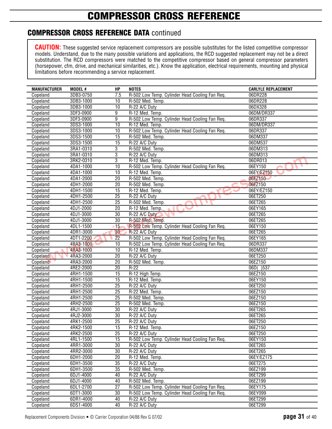### **COMPRESSOR CROSS REFERENCE DATA** continued

| <b>MANUFACTURER</b> | MODEL #   | HP              | <b>NOTES</b>                                   | <b>CARLYLE REPLACEMENT</b> |
|---------------------|-----------|-----------------|------------------------------------------------|----------------------------|
| Copeland            | 3DB3-0750 | 7.5             | R-502 Low Temp. Cylinder Head Cooling Fan Req. | 06DR228                    |
| Copeland            | 3DB3-1000 | 10              | R-502 Med. Temp.                               | 06DR228                    |
| Copeland            | 3DB3-1000 | $\overline{10}$ | R-22 A/C Duty                                  | 06DX328                    |
| Copeland            | 3DF3-0900 | 9               | R-12 Med. Temp.                                | 06DM/DR337                 |
| Copeland            | 3DF3-0900 | 9               | R-502 Low Temp. Cylinder Head Cooling Fan Req. | 06DR337                    |
| Copeland            | 3DS3-1000 | 10              | R-12 Med. Temp.                                | 06DM/DR337                 |
| Copeland            | 3DS3-1000 | 10              | R-502 Low Temp. Cylinder Head Cooling Fan Req. | 06DR337                    |
| Copeland            | 3DS3-1500 | 15              | R-502 Med. Temp.                               | 06DM337                    |
| Copeland            | 3DS3-1500 | $\overline{15}$ | R-22 A/C Duty                                  | 06DM537                    |
| Copeland            | 3RA1-0310 | 3               | R-502 Med. Temp.                               | 06DM313                    |
| Copeland            | 3RA1-0310 | 3               | R-22 A/C Duty                                  | 06DM313                    |
| Copeland            | 3RK2-0310 | 3               | R-12 Med. Temp.                                | 06DR013                    |
| Copeland            | 4DA1-1000 | 10              | R-502 Low Temp. Cylinder Head Cooling Fan Req. | 06EY150                    |
| Copeland            | 4DA1-1000 | $\overline{10}$ | R-12 Med. Temp.                                | 06EY/EZ150                 |
| Copeland            | 4DA1-2000 | 20              | R-502 Med. Temp.                               | 06EZ150                    |
| Copeland            | 4DH1-2000 | 20              | R-502 Med. Temp.                               | 06EZ150                    |
| Copeland            | 4DH1-1500 | $\overline{15}$ | R-12 Med. Temp.                                | 06EY/EZ150                 |
| Copeland            | 4DH1-2500 | 25              | R-22 A/C Duty                                  | 06ET250                    |
| Copeland            | 4DH1-2500 | $\overline{25}$ | R-502 Med. Temp.                               | 06ET265                    |
| Copeland            | 4DJ1-2000 | $\overline{20}$ | R-12 Med. Temp.                                | 06EY165                    |
| Copeland            | 4DJ1-3000 | 30              | R-22 A/C Duty                                  | 06ET265                    |
| Copeland            | 4DJ1-3000 | 30              | R-502 Med. Temp.                               | 06ET265                    |
| Copeland            | 4DL1-1500 | $-15$           | R-502 Low Temp. Cylinder Head Cooling Fan Req. | 06EY150                    |
| Copeland            | 4DR1-3000 | 30              | R-22 A/C Duty                                  | 06ET265                    |
| Copeland            | 4DT1-2200 | 22              | R-502 Low Temp. Cylinder Head Cooling Fan Req. | 06EY165                    |
| Copeland            | 4RA3-1000 | $\overline{10}$ | R-502 Low Temp. Cylinder Head Cooling Fan Req. | 06DR337                    |
| Copeland            | 4RA3-1000 | 10              | R-12 Med. Temp.                                | 06DM337                    |
| Copeland            | 4RA3-2000 | $\overline{20}$ | R-22 A/C Duty                                  | 06ET250                    |
| Copeland            | 4RA3-2000 | $\overline{20}$ | R-502 Med. Temp.                               | 06EZ150                    |
| Copeland            | 4RE2-2000 | 20              | $R-22$                                         | 06D()537                   |
| Copeland            | 4RH1-1500 | 15              | R-12 High Temp.                                | 06EZ150                    |
| Copeland            | 4RH1-1500 | $\overline{15}$ | R-12 Med. Temp.                                | 06EY150                    |
| Copeland            | 4RH1-2500 | $\overline{25}$ | R-22 A/C Duty                                  | 06ET250                    |
| Copeland            | 4RH1-2500 | $\overline{25}$ | R-22 Med. Temp.                                | 06EZ150                    |
| Copeland            | 4RH1-2500 | $\overline{25}$ | R-502 Med. Temp.                               | 06EZ150                    |
| Copeland            | 4RH2-2500 | 25              | R-502 Med. Temp.                               | 06EZ150                    |
| Copeland            | 4RJ1-3000 | $\overline{30}$ | R-22 A/C Duty                                  | 06ET265                    |
| Copeland            | 4RJ2-3000 | $\overline{30}$ | R-22 A/C Duty                                  | 06ET265                    |
| Copeland            | 4RK1-2500 | $\overline{25}$ | R-22 A/C Duty                                  | 06ET250                    |
| Copeland            | 4RK2-1500 | $\overline{15}$ | R-12 Med. Temp.                                | 06EZ150                    |
| Copeland            | 4RK2-2500 | 25              | R-22 A/C Duty                                  | 06ET250                    |
| Copeland            | 4RL1-1500 | 15              | R-502 Low Temp. Cylinder Head Cooling Fan Req. | 06EY150                    |
| Copeland            | 4RR1-3000 | 30              | R-22 A/C Duty                                  | 06ET265                    |
| Copeland            | 4RR2-3000 | $\overline{30}$ | R-22 A/C Duty                                  | 06ET265                    |
| Copeland            | 6DH1-2000 | 20              | R-12 Med. Temp.                                | 06EY/EZ175                 |
| Copeland            | 6DH1-3500 | 35              | R-22 A/C Duty                                  | 06ET275                    |
| Copeland            | 6DH1-3500 | 35              | R-502 Med. Temp.                               | 06EZ199                    |
| Copeland            | 6DJ1-4000 | 40              | R-22 A/C Duty                                  | 06ET299                    |
| Copeland            | 6DJ1-4000 | 40              | R-502 Med. Temp.                               | 06EZ199                    |
| Copeland            | 6DL1-2700 | $\overline{27}$ | R-502 Low Temp. Cylinder Head Cooling Fan Req. | 06EY175                    |
| Copeland            | 6DT1-3000 | 30              | R-502 Low Temp. Cylinder Head Cooling Fan Req. | 06EY099                    |
| Copeland            | 6DR1-4000 | 40              | R-22 A/C Duty                                  | 06ET299                    |
| Copeland            | 6DS1-4000 | 40              | R-22 A/C Duty                                  | 06ET299                    |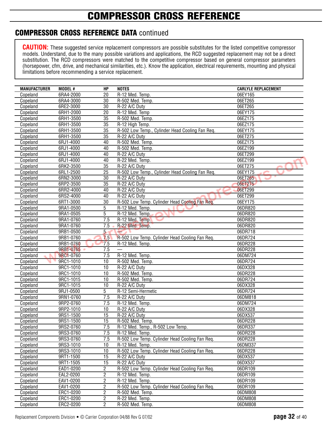## **COMPRESSOR CROSS REFERENCE**

### **COMPRESSOR CROSS REFERENCE DATA** continued

| <b>MANUFACTURER</b> | MODEL #   | HP              | <b>NOTES</b>                                    | <b>CARLYLE REPLACEMENT</b> |
|---------------------|-----------|-----------------|-------------------------------------------------|----------------------------|
| Copeland            | 6RA4-2000 | 20              | R-12 Med. Temp.                                 | 06EY165                    |
| Copeland            | 6RA4-3000 | 30              | R-502 Med. Temp.                                | 06ET265                    |
| Copeland            | 6RE2-3000 | 30              | R-22 A/C Duty                                   | 06ET265                    |
| Copeland            | 6RH1-2000 | 20              | R-12 Med. Temp                                  | 06EY175                    |
| Copeland            | 6RH1-3500 | 35              | R-502 Med. Temp.                                | 06EZ175                    |
| Copeland            | 6RH1-3500 | 35              | R-12 High Temp.                                 | 06EZ175                    |
| Copeland            | 6RH1-3500 | $\overline{35}$ | R-502 Low Temp., Cylinder Head Cooling Fan Req. | 06EY175                    |
| Copeland            | 6RH1-3500 | $\overline{35}$ | R-22 A/C Duty                                   | 06ET275                    |
| Copeland            | 6RJ1-4000 | 40              | R-502 Med. Temp.                                | 06EZ175                    |
| Copeland            | 6RJ1-4000 | 40              | R-502 Med. Temp.                                | 06EZ199                    |
| Copeland            | 6RJ1-4000 | 40              | R-22 A/C Duty                                   | 06ET299                    |
| Copeland            | 6RJ1-4000 | 40              | R-22 Med. Temp.                                 | 06EZ199                    |
| Copeland            | 6RK2-3500 | $\overline{35}$ | R-22 A/C Duty                                   | 06ET275                    |
| Copeland            | 6RL1-2500 | $\overline{25}$ | R-502 Low Temp., Cylinder Head Cooling Fan Req. | 06EY175                    |
| Copeland            | 6RN2-3000 | 30              | R-22 A/C Duty                                   | 06ET265<br>ب               |
| Copeland            | 6RP2-3500 | 35              | R-22 A/C Duty                                   | 06ET275                    |
| Copeland            | 6RR2-4000 | 40              | R-22 A/C Duty                                   | 06ET299                    |
| Copeland            | 6RS2-4000 | 40              | R-22 A/C Duty                                   | 06ET299                    |
| Copeland            | 6RT1-3000 | $\overline{30}$ | R-502 Low Temp. Cylinder Head Cooling Fan Req.  | 06EY175                    |
| Copeland            | 9RA1-0500 | 5               | R-12 Med. Temp.                                 | 06DR820                    |
| Copeland            | 9RA1-0505 | 5               | R-12 Med. Temp.                                 | 06DR820                    |
| Copeland            | 9RA1-0760 | 7.5             | R-12 Med. Temp.                                 | 06DR820                    |
| Copeland            | 9RA1-0760 | 7.5             | R-22 Med. Temp.                                 | 06DR820                    |
| Copeland            | 9RB1-0500 | 5 <sub>5</sub>  |                                                 | 06DR718                    |
| Copeland            | 9RB1-0760 | 7.5             | R-502 Low Temp. Cylinder Head Cooling Fan Req.  | 06DR724                    |
| Copeland            | 9RB1-0760 | 7.5             | R-12 Med. Temp.                                 | 06DR228                    |
| Copeland            | 9RB1-0765 | 7.5             |                                                 | 06DR228                    |
| Copeland            | 9RC1-0760 | 7.5             | R-12 Med. Temp.                                 | 06DM724                    |
| Copeland            | 9RC1-1010 | 10              | R-502 Med. Temp.                                | 06DR724                    |
| Copeland            | 9RC1-1010 | 10              | R-22 A/C Duty                                   | 06DX328                    |
| Copeland            | 9RC1-1010 | 10              | R-502 Med. Temp.                                | 06DR228                    |
| Copeland            | 9RC1-1015 | 10              | R-502 Med. Temp.                                | 06DR724                    |
| Copeland            | 9RC1-1015 | 10              | R-22 A/C Duty                                   | 06DX328                    |
| Copeland            | 9RJ1-0500 | 5               | R-12 Semi-Hermetic                              | 06DR724                    |
| Copeland            | 9RN1-0760 | 7.5             | R-22 A/C Duty                                   | 06DM818                    |
| Copeland            | 9RP2-0760 | 7.5             | R-12 Med. Temp.                                 | 06DM724                    |
| Copeland            | 9RP2-1010 | 10              | R-22 A/C Duty                                   | 06DX328                    |
| Copeland            | 9RS1-1500 | $\overline{15}$ | R-22 A/C Duty                                   | 06DX537                    |
| Copeland            | 9RS1-1500 | 15              | R-502 Med. Temp.                                | 06DR228                    |
| Copeland            | 9RS2-0760 | 7.5             | R-12 Med. Temp., R-502 Low Temp.                | 06DR337                    |
| Copeland            | 9RS3-0760 | 7.5             | R-12 Med. Temp.                                 | 06DR228                    |
| Copeland            | 9RS3-0760 | 7.5             | R-502 Low Temp. Cylinder Head Cooling Fan Req.  | 06DR228                    |
| Copeland            | 9RS3-1010 | 10              | R-12 Med. Temp.                                 | 06DM337                    |
| Copeland            | 9RS3-1010 | 10              | R-502 Low Temp. Cylinder Head Cooling Fan Req.  | 06DR228                    |
| Copeland            | 9RT1-1500 | 15              | R-22 A/C Duty                                   | 06DX537                    |
| Copeland            | 9RT1-1505 | 15              | R-22 A/C Duty                                   | 06DX537                    |
| Copeland            | EAD1-0200 | 2               | R-502 Low Temp. Cylinder Head Cooling Fan Req.  | 06DR109                    |
| Copeland            | EAL2-0200 | $\overline{c}$  | R-12 Med. Temp.                                 | 06DR109                    |
| Copeland            | EAV1-0200 | 2               | R-12 Med. Temp.                                 | 06DR109                    |
| Copeland            | EAV1-0200 | $\overline{2}$  | R-502 Low Temp. Cylinder Head Cooling Fan Req.  | 06DR109                    |
| Copeland            | ERC1-0200 | $\overline{c}$  | R-502 Med. Temp.                                | 06DM808                    |
| Copeland            | ERC1-0200 | $\overline{2}$  | R-22 Med. Temp.                                 | 06DM808                    |
| Copeland            | ERC2-0200 | $\overline{c}$  | R-502 Med. Temp.                                | 06DM808                    |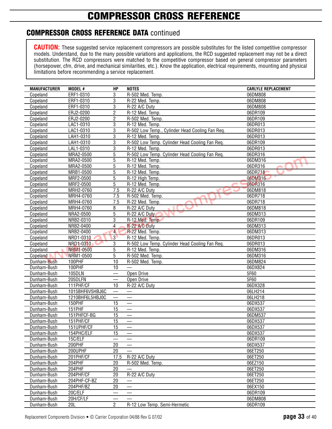## **COMPRESSOR CROSS REFERENCE**

### **COMPRESSOR CROSS REFERENCE DATA** continued

| <b>MANUFACTURER</b> | MODEL #          | HP                       | <b>NOTES</b>                                    | <b>CARLYLE REPLACEMENT</b> |
|---------------------|------------------|--------------------------|-------------------------------------------------|----------------------------|
| Copeland            | ERF1-0310        | 3                        | R-502 Med. Temp.                                | 06DM808                    |
| Copeland            | ERF1-0310        | 3                        | R-22 Med. Temp.                                 | 06DM808                    |
| Copeland            | ERF1-0310        | 3                        | R-22 A/C Duty                                   | 06DM808                    |
| Copeland            | ERJ2-0200        | $\overline{c}$           | R-12 Med. Temp.                                 | 06DR109                    |
| Copeland            | ERJ2-0200        | $\overline{2}$           | R-502 Med. Temp.                                | 06DR109                    |
| Copeland            | LAC1-0310        | $\overline{3}$           | R-12 Med. Temp.                                 | 06DR013                    |
| Copeland            | LAC1-0310        | 3                        | R-502 Low Temp., Cylinder Head Cooling Fan Req. | 06DR013                    |
| Copeland            | LAH1-0310        | 3                        | R-12 Med. Temp.                                 | 06DR013                    |
| Copeland            | LAH1-0310        | 3                        | R-502 Low Temp. Cylinder Head Cooling Fan Req.  | 06DR109                    |
| Copeland            | LAL1-0310        | 3                        | R-12 Med. Temp.                                 | 06DR013                    |
| Copeland            | MRA2-0500        | 5                        | R-502 Low Temp. Cylinder Head Cooling Fan Req.  | 06DR316                    |
| Copeland            | MRA2-0500        | $\overline{5}$           | R-12 Med. Temp.                                 | 06DM316                    |
| Copeland            | MRA2-0500        | 5                        | R-12 Med. Temp.                                 | 06DR316                    |
| Copeland            | MRB1-0500        | 5                        | R-12 Med. Temp.                                 | 06DR718                    |
| Copeland            | MRF2-0500        | 5                        | R-12 High Temp.                                 | 06DM316                    |
| Copeland            | MRF2-0500        | 5                        | R-12 Med. Temp.                                 | 06DR316                    |
| Copeland            | MRH2-0760        | 7.5                      | R-22 A/C Duty                                   | 06DM818                    |
| Copeland            | MRH4-0760        | 7.5                      | R-502 Med. Temp.                                | 06DR718                    |
| Copeland            | MRH4-0760        | 7.5                      | R-22 Med. Temp.                                 | 06DR718                    |
| Copeland            | MRH4-0760        | 8                        | R-22 A/C Duty                                   | 06DM818                    |
| Copeland            | NRA2-0500        | 5                        | R-22 A/C Duty                                   | 06DM313                    |
| Copeland            | NRB2-0310        | 3                        | R-12 Med. Temp.                                 | 06DR109                    |
| Copeland            | NRB2-0400        | $\overline{\mathcal{L}}$ | R-22 A/C Duty                                   | 06DM313                    |
| Copeland            | NRB2-0400        | $\overline{4}$           | R-22 Med. Temp.                                 | 06DM313                    |
| Copeland            | NRD1-0310        | $\mathbf{3}$             | R-12 Med. Temp.                                 | 06DR013                    |
| Copeland            | NRD1-0310        | 3                        | R-502 Low Temp. Cylinder Head Cooling Fan Req.  | 06DR013                    |
| Copeland            | <b>NRM1-0500</b> | 5                        | R-12 Med. Temp.                                 | 06DM316                    |
| Copeland            | NRM1-0500        | 5                        | R-502 Med. Temp.                                | 06DM316                    |
| Dunham-Bush         | 100PHF           | 10                       | R-502 Med. Temp.                                | 06DM824                    |
| Dunham-Bush         | 100PHF           | 10                       |                                                 | 06DX824                    |
| Dunham-Bush         | 105DLN           |                          | Open Drive                                      | 5F60                       |
| Dunham-Bush         | 205DLFN          |                          | Open Drive                                      | 5F60                       |
| Dunham-Bush         | 111PHF/CF        | 10                       | R-22 A/C Duty                                   | 06DX328                    |
| Dunham-Bush         | 1015BHF6V5HBJ6C  |                          |                                                 | 06LH214                    |
| Dunham-Bush         | 1210BHF6L5HBJ0C  |                          |                                                 | 06LH218                    |
| Dunham-Bush         | 150PHF           | 15                       |                                                 | 06DX537                    |
| Dunham-Bush         | <b>151PHF</b>    | 15                       |                                                 | 06DX537                    |
| Dunham-Bush         | 151PHFCF-BG      | 15                       |                                                 | 06DM537                    |
| Dunham-Bush         | 151PHF/CF        | 15                       |                                                 | 06DX537                    |
| Dunham-Bush         | 151UPHF/CF       | 15                       |                                                 | 06DX537                    |
| Dunham-Bush         | 154PHC/ELF       | 15                       |                                                 | 06DX537                    |
| Dunham-Bush         | 15C/ELF          |                          |                                                 | 06DR109                    |
| Dunham-Bush         | 200PHF           | 20                       |                                                 | 06DX537                    |
| Dunham-Bush         | 200UPHF          | 20                       |                                                 | 06ET250                    |
| Dunham-Bush         | 201PHF/CF        | 17.5                     | R-22 A/C Duty                                   | 06ET250                    |
| Dunham-Bush         | 204PHF           | 20                       | R-502 Med. Temp.                                | 06EZ150                    |
| Dunham-Bush         | 204PHF           | 20                       |                                                 | 06ET250                    |
| Dunham-Bush         | 204PHF/CF        | 20                       | R-22 A/C Duty                                   | 06ET250                    |
| Dunham-Bush         | 204PHF-CF-BZ     | 20                       |                                                 | 06ET250                    |
| Dunham-Bush         | 204PHF/BZ        | 20                       |                                                 | 06EX150                    |
| Dunham-Bush         | 20C/ELF          |                          |                                                 | 06DR109                    |
| Dunham-Bush         | 20H/CF/LF        |                          |                                                 | 06DM808                    |
| Dunham-Bush         | 20L              | $\overline{2}$           | R-12 Low Temp. Semi-Hermetic                    | 06DR109                    |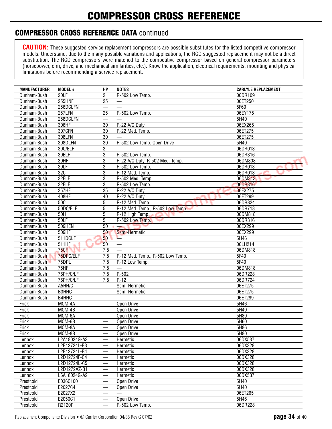### **COMPRESSOR CROSS REFERENCE DATA** continued

| <b>MANUFACTURER</b>    | <b>MODEL#</b>            | НP                            | <b>NOTES</b>                     | <b>CARLYLE REPLACEMENT</b> |
|------------------------|--------------------------|-------------------------------|----------------------------------|----------------------------|
| Dunham-Bush            | 20LF                     | $\overline{2}$                | R-502 Low Temp.                  | 06DR109                    |
| Dunham-Bush            | <b>255HNF</b>            | $\overline{25}$               |                                  | 06ET250                    |
| Dunham-Bush            | 256DCLFN                 |                               |                                  | 5F60                       |
| Dunham-Bush            | 257LFN                   | 25                            | R-502 Low Temp.                  | 06EY175                    |
| Dunham-Bush            | 258DCLFN                 |                               |                                  | 5H40                       |
| Dunham-Bush            | 306HF                    | $\overline{30}$               | R-22 A/C Duty                    | 06EX265                    |
| Dunham-Bush            | 307CFN                   | 30                            | R-22 Med. Temp.                  | 06ET275                    |
| Dunham-Bush            | 308LFN                   | $\overline{30}$               |                                  | 06ET275                    |
| Dunham-Bush            | 308DLFN                  | $\overline{30}$               | R-502 Low Temp. Open Drive       | 5H40                       |
| Dunham-Bush            | 30C/ELF                  | 3                             |                                  | 06DR013                    |
| Dunham-Bush            | 30ELF                    | 3                             | R-502 Low Temp.                  | 06DR316                    |
| Dunham-Bush            | 30HF                     | 3                             | R-22 A/C Duty, R-502 Med. Temp.  | 06DM808                    |
| Dunham-Bush            | 30LF                     | 3                             | R-502 Low Temp.                  | 06DR013                    |
| Dunham-Bush            | 32C                      | 3                             | R-12 Med. Temp.                  | 06DR013                    |
| Dunham-Bush            | 32ELF                    | 3                             | R-502 Med. Temp.                 | 06DM313<br>ست              |
| Dunham-Bush            | 32ELF                    | 3                             | R-502 Low Temp.                  | 06DR316                    |
| Dunham-Bush            | 357HF                    | $\overline{35}$               | R-22 A/C Duty                    | 06EX275                    |
| Dunham-Bush            | 408HF                    | 40                            | R-22 A/C Duty                    | 06ET299                    |
| Dunham-Bush            | 50 <sub>C</sub>          | 5                             | R-12 Med. Temp.                  | 06DR824                    |
| Dunham-Bush            | 50DC/ELF                 | $\overline{5}$                | R-12 Med. Temp., R-502 Low Temp. | 06DR718                    |
| Dunham-Bush            | 50H                      | 5                             | R-12 High Temp.                  | 06DM818                    |
| Dunham-Bush            | 50LF                     | 5                             | R-502 Low Temp.                  | 06DR316                    |
| Dunham-Bush            | 509HEN                   | $\overline{50}$               |                                  | 06EX299                    |
| Dunham-Bush            | 509HF                    | 50                            | Semi-Hermetic                    | 06EX299                    |
| Dunham-Bush            | 511DCLF                  | 50                            |                                  | 5H46                       |
| Dunham-Bush            | 511HF                    | 50                            |                                  | 06LH214                    |
| Dunham-Bush            | <b>75CF</b><br>$\sim$    | 7.5                           | $\equiv$                         | 06DM818                    |
| Dunham-Bush            | 75DPC/ELF                | 7.5                           | R-12 Med. Temp., R-502 Low Temp. | 5F40                       |
| Dunham-Bush            | 75DPL                    | 7.5                           | R-12 Low Temp.                   | 5F40                       |
| Dunham-Bush            | 75HF                     | 7.5                           |                                  | 06DM818                    |
| Dunham-Bush            | 76PH/C/LF                | 7.5                           | R-502                            | 06DR228                    |
| Dunham-Bush            | 76PH/C/LF                | 7.5                           | $R-12$                           | 06DR724                    |
| Dunham-Bush            | A5HH/C                   | $\overline{\phantom{0}}$      | Semi-Hermetic                    | 06ET275                    |
| Dunham-Bush            | <b>B3HHC</b>             | $\overline{\phantom{0}}$      | Semi-Hermetic                    | 06ET275                    |
| Dunham-Bush            | B4HHC                    |                               |                                  | 06ET299                    |
| Frick                  | MCM-4A                   |                               | Open Drive                       | 5H46                       |
| Frick                  | MCM-4B                   |                               | Open Drive                       | 5H40                       |
| Frick                  | MCM-6A                   |                               | Open Drive                       | 5H80                       |
| Frick                  | MCM-6B                   | $\qquad \qquad$               | Open Drive                       | 5H60                       |
| Frick                  | MCM-8A                   |                               | Open Drive                       | 5H86                       |
| Frick                  | MCM-8B                   | $\overline{\phantom{0}}$      | Open Drive                       | 5H80                       |
| Lennox                 | L2A18024G-A3             |                               | Hermetic                         | 06DX537                    |
| Lennox                 | L2B12724L-B3             |                               | Hermetic                         | 06DX328                    |
| Lennox                 | L2B12724L-B4             |                               | Hermetic                         | 06DX328<br>06DX328         |
| Lennox                 | L2D12724F-C4             |                               | Hermetic                         | 06DX328                    |
| Lennox                 | L2D12724L-C5             |                               | Hermetic                         |                            |
| Lennox                 | L2D1272AZ-B1             | $\overline{\phantom{0}}$      | Hermetic                         | 06DX328                    |
| Lennox                 | L6A18024G-A2<br>E036C100 |                               | Hermetic                         | 06DX537<br>5H40            |
| Prestcold<br>Prestcold | E2027C4                  |                               | Open Drive<br>Open Drive         | 5H40                       |
| Prestcold              | E2027X2                  |                               |                                  | 06ET265                    |
| Prestcold              | E2050C1                  |                               | Open Drive                       | 5H46                       |
| Prestcold              | R2120P                   | $\overbrace{\phantom{13333}}$ | R-502 Low Temp.                  | 06DR228                    |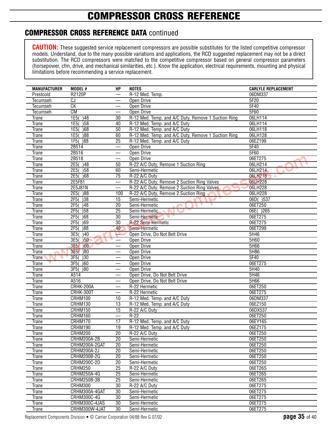### **COMPRESSOR CROSS REFERENCE DATA** continued

| <b>MANUFACTURER</b>   | MODEL #                  | <b>HP</b>                | <b>NOTES</b>                                        | <b>CARLYLE REPLACEMENT</b> |
|-----------------------|--------------------------|--------------------------|-----------------------------------------------------|----------------------------|
| Prestcold             | <b>R2120P</b>            |                          | R-12 Med. Temp.                                     | 06DM337                    |
| Tecumseh              | CJ                       |                          | Open Drive                                          | 5F20                       |
| <b>Tecumseh</b>       | СK                       |                          | <b>Open Drive</b>                                   | 5F40                       |
| <b>Tecumseh</b>       | CM                       |                          | Open Drive                                          | 5F60                       |
| Trane                 | 1E5() 48                 | 30                       | R-12 Med. Temp. and A/C Duty, Remove 1 Suction Ring | 06LH114                    |
| Trane                 | )58<br>1E5(              | 40                       | R-12 Med. Temp. and A/C Duty                        | 06LH114                    |
| Trane                 | 1E5(<br>$\overline{)68}$ | $\overline{50}$          | R-12 Med. Temp. and A/C Duty                        | 06LH118                    |
| Trane                 | 1E5(<br>$\overline{)88}$ | 60                       | R-12 Med. Temp. and A/C Duty, Remove 1 Suction Ring | 06LH128                    |
| Trane                 | $1F5()$ 88               | 25                       | R-12 Med. Temp. and A/C Duty                        | 06EZ199                    |
| <b>Trane</b>          | 2B514                    |                          | Open Drive                                          | 5F40                       |
| <b>Trane</b>          | 2B516                    |                          | Open Drive                                          | 5F60                       |
| Trane                 | 2B518                    | $\overline{\phantom{0}}$ | Open Drive                                          | 06ET275                    |
| Trane                 | $2E5()$ 48               | 50                       | R-22 A/C Duty, Remove 1 Suction Ring                | 06LH214                    |
| Trane                 | 2E5()58                  | 60                       | Semi-Hermetic                                       | 06LH214                    |
| <b>Trane</b>          | 2E5()68                  | 75                       | R-22 A/C Duty                                       | 06LH218                    |
| Trane                 | 2E5F81                   | $\overline{\phantom{0}}$ | R-22 A/C Duty, Remove 2 Suction Ring Valves         | 06LH228                    |
| <b>Trane</b>          | 2E5J81N                  |                          | R-22 A/C Duty, Remove 2 Suction Ring Valves         | 06LH228                    |
| Trane                 | 2E5(<br> 88              | 100                      | R-22 A/C Duty, Remove 2 Suction Ring                | 06LH228                    |
| Trane                 | 2F5(<br>$\overline{)38}$ | $\overline{15}$          | Semi-Hermetic                                       | 06D()537                   |
| Trane                 | $\overline{)48}$<br>2F5( | $\overline{20}$          | Semi-Hermetic                                       | 06ET250                    |
| <b>Trane</b>          | )58<br>2F5               | 25                       | Semi-Hermetic                                       | 06E() 265                  |
| <b>Trane</b>          | 2F5(<br>$\overline{)68}$ | 30                       | Semi-Hermetic                                       | 06ET275                    |
| Trane                 | 2F5(<br>)69              | 30                       | R-22 Semi-Hermetic                                  | 06ET275                    |
| <b>Trane</b>          | 2F5<br>$\overline{)88}$  | 40                       | Semi-Hermetic                                       | 06ET299                    |
| Trane                 | 3E5(<br>$\overline{)40}$ |                          | Open Drive, Do Not Belt Drive                       | 5H46                       |
| Trane                 | 3E5(<br>)50              |                          | Open Drive                                          | 5H60                       |
| Trane                 | 3E5(<br>)60              |                          | <b>Open Drive</b>                                   | 5H66                       |
| Trane                 | 3E5(<br>)80              |                          | <b>Open Drive</b>                                   | 5H86                       |
| <b>Trane</b>          | 3F5(<br>)30              |                          | Open Drive                                          | 5F40                       |
| Trane                 | 3F5(<br>$\overline{)60}$ |                          | <b>Open Drive</b>                                   | 06ET275                    |
| Trane                 | 3F5(<br>$\overline{)80}$ |                          | Open Drive                                          | 5H40                       |
| Trane                 | A514<br>A516             |                          | Open Drive, Do Not Belt Drive                       | 5H46<br>5H66               |
| Trane                 |                          |                          | Open Drive, Do Not Belt Drive                       |                            |
| <b>Trane</b>          | <b>CRHK-200A</b>         |                          | R-22 Hermetic                                       | 06ET250                    |
| <b>Trane</b>          | <b>CRHK-300T</b>         |                          | R-22 Hermetic                                       | 06ET275<br>06DM337         |
| Trane                 | CRHM100                  | 10                       | R-12 Med. Temp. and A/C Duty                        |                            |
| Trane                 | CRHM130                  | $\overline{13}$          | R-12 Med. Temp. and A/C Duty                        | 06EZ150                    |
| Trane                 | CRHM150<br>CRHM160       | 15                       | R-22 A/C Duty<br>$R-22$                             | 06DX537<br>06ET250         |
| <b>Trane</b>          | CRHM170                  | $\overline{17}$          | R-12 Med. Temp. and A/C Duty                        | 06EY165                    |
| Trane<br><b>Trane</b> |                          | $\overline{19}$          | R-12 Med. Temp. and A/C Duty                        | 06EZ175                    |
|                       | CRHM190<br>CRHM200       | 20                       | R-22 A/C Duty                                       | 06ET250                    |
| <b>Trane</b>          | CRHM200A-2B              | $\overline{20}$          |                                                     | 06ET250                    |
| Trane                 | CRHM200A-2GAT            | $\overline{20}$          | Semi-Hermetic<br>Semi-Hermetic                      | 06ET250                    |
| Trane                 | <b>CRHM200A-2J</b>       | $\overline{20}$          | Semi-Hermetic                                       | 06ET250                    |
| <b>Trane</b>          | <b>CRHM200B-2G</b>       | $\overline{20}$          |                                                     | 06ET250                    |
| <b>Trane</b>          | CRHM200C-2D              | 20                       | Semi-Hermetic<br>Semi-Hermetic                      | 06ET250                    |
| Trane<br>Trane        | CRHM250                  | $\overline{25}$          | R-22 A/C Duty                                       | 06ET26S                    |
|                       | <b>CRHM250A-4G</b>       | $\overline{25}$          | Semi-Hermetic                                       | 06ET265                    |
| Trane                 | CRHM250B-3B              | 25                       | Semi-Hermetic                                       | 06ET265                    |
| Trane<br><b>Trane</b> | CRHM300                  | $\overline{30}$          | R-22 A/C Duty                                       | 06ET275                    |
| Trane                 | CRHM300A-4GAT            | 30                       | Semi-Hermetic                                       | 06ET275                    |
| Trane                 | CRHM300C-4G              | 30                       | Semi-Hermetic                                       | 06ET275                    |
| Trane                 | CRHM300C-4JAS            | $\overline{30}$          | Semi-Hermetic                                       | 06ET275                    |
| Trane                 | CRHM300W-4JAT            | 30                       | Semi-Hermetic                                       | 06ET275                    |
|                       |                          |                          |                                                     |                            |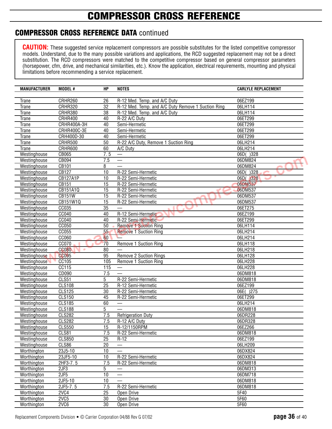## **COMPRESSOR CROSS REFERENCE**

### **COMPRESSOR CROSS REFERENCE DATA** continued

| <b>MANUFACTURER</b>          | MODEL #           | <b>HP</b>       | <b>NOTES</b>                                       | <b>CARLYLE REPLACEMENT</b> |
|------------------------------|-------------------|-----------------|----------------------------------------------------|----------------------------|
|                              |                   |                 |                                                    |                            |
| <b>Trane</b>                 | CRHR260           | 26              | R-12 Med. Temp. and A/C Duty                       | 06EZ199                    |
| <b>Trane</b>                 | <b>CRHR320</b>    | 32              | R-12 Med. Temp. and A/C Duty Remove 1 Suction Ring | 06LH114                    |
| <b>Trane</b>                 | CRHR380           | 38              | R-12 Med. Temp. and A/C Duty                       | 06LH114                    |
| <b>Trane</b>                 | CRHR400           | 40              | R-22 A/C Duty                                      | 06ET299                    |
| Trane                        | CRHR400A-3H       | 40              | Semi-Hermetic                                      | 06ET299                    |
| <b>Trane</b>                 | CRHR400C-3E       | 40              | Semi-Hermetic                                      | 06ET299                    |
| <b>Trane</b>                 | CRH400D-30        | 40              | Semi-Hermetic                                      | 06ET299                    |
| Trane                        | CRHR500           | 50              | R-22 A/C Duty, Remove 1 Suction Ring               | 06LH214                    |
| Trane                        | CRHR600           | 60              | A/C Duty                                           | 06LH214                    |
| Westinghouse                 | CB065             | 7.5             |                                                    | 06D()328                   |
| Westinghouse                 | CB094             | 7.5             |                                                    | 06DM824                    |
| Westinghouse                 | CB101             | 8               |                                                    | 06DM824                    |
| Westinghouse                 | CB127             | 10              | R-22 Semi-Hermetic                                 | 06D(<br>)328               |
| Westinghouse                 | <b>CB127A1P</b>   | 10              | R-22 Semi-Hermetic                                 | 06D()328<br>پ              |
| Westinghouse                 | CB151             | 15              | R-22 Semi-Hermetic                                 | 06DM537                    |
| Westinghouse                 | CB151A1Q          | 15              | R-22 Semi-Hermetic                                 | 06DM537                    |
| Westinghouse                 | <b>CB151W</b>     | 15              | R-22 Semi-Hermetic                                 | 06DM537                    |
| Westinghouse                 | CB151W1Q          | $\overline{15}$ | R-22 Semi-Hermetic                                 | 06DM537                    |
| Westinghouse                 | CC035             | 35              |                                                    | 06ET275                    |
| Westinghouse                 | CC040             | 40              | R-12 Semi-Hermetic                                 | 06EZ199                    |
| Westinghouse                 | <b>CC040</b>      | 40              | R-22 Semi-Hermetic                                 | 06ET299                    |
| Westinghouse                 | CC050<br>CC055    | 50<br>55        | <b>Remove 1 Suction Ring</b>                       | 06LH114<br>06LH214         |
| Westinghouse                 | CC060             | 60              | <b>Remove 1 Suction Ring</b>                       | 06LH214                    |
| Westinghouse                 | CC070             | 70              |                                                    | 06LH118                    |
| Westinghouse<br>Westinghouse | <b>CC080</b><br>× | 80              | Remove 1 Suction Ring                              | 06LH218                    |
| Westinghouse                 | <b>CC095</b>      | 95              | Remove 2 Suction Rings                             | 06LH128                    |
| Westinghouse                 | CC105             | 105             | Remove 1 Suction Ring                              | 06LH228                    |
| Westinghouse                 | CC115             | 115             |                                                    | 06LH228                    |
| Westinghouse                 | CD090             | 7.5             |                                                    | 06DM818                    |
| Westinghouse                 | CLS51             | 5               | R-22 Semi-Hermetic                                 | 06DM818                    |
| Westinghouse                 | <b>CLS108</b>     | $\overline{25}$ | R-12 Semi-Hermetic                                 | 06EZ199                    |
| Westinghouse                 | <b>CLS125</b>     | 30              | R-22 Semi-Hermetic                                 | 06E()275                   |
| Westinghouse                 | <b>CLS150</b>     | 45              | R-22 Semi-Hermetic                                 | 06ET299                    |
| Westinghouse                 | <b>CLS185</b>     | 60              |                                                    | 06LH214                    |
| Westinghouse                 | <b>CLS188</b>     | 5               |                                                    | 06DM818                    |
| Westinghouse                 | <b>CLS282</b>     | 7.5             | <b>Refrigeration Duty</b>                          | 06DR228                    |
| Westinghouse                 | <b>CLS282</b>     | 7.5             | R-12 A/C Duty                                      | 06DR328                    |
| Westinghouse                 | <b>CLS550</b>     | $\overline{15}$ | R-12/1150RPM                                       | 06EZ266                    |
| Westinghouse                 | CLS81             | 7.5             | R-22 Semi-Hermetic                                 | 06DM818                    |
| Westinghouse                 | <b>CLS850</b>     | $\overline{25}$ | $R-12$                                             | 06EZ199                    |
| Westinghouse                 | CLS86             | 20              |                                                    | 06LH209                    |
| Worthington                  | 23J5-10           | 10              |                                                    | 06DX824                    |
| Worthington                  | 23JF5-10          | 10              | R-22 Semi-Hermetic                                 | 06DX824                    |
| Worthington                  | 2HF3-7.5          | 7.5             | R-22 Semi-Hermetic                                 | 06DM818                    |
| Worthington                  | 2JF3              | 5               |                                                    | 06DM313                    |
| Worthington                  | 2JF5              | 10              |                                                    | 06DM718                    |
| Worthington                  | 2JF5-10           | 10              |                                                    | 06DM818                    |
| Worthington                  | $2JF5 - 7.5$      | 7.5             | R-22 Semi-Hermetic                                 | 06DM818                    |
| Worthington                  | 2VC4              | 25              | Open Drive                                         | 5F40                       |
| Worthington                  | 2VC5              | 30              | Open Drive                                         | 5F60                       |
| Worthington                  | 2VC6              | 30              | Open Drive                                         | 5F60                       |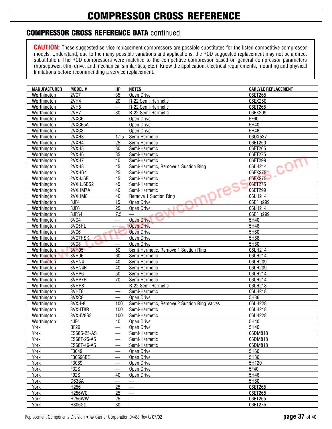### **COMPRESSOR CROSS REFERENCE DATA** continued

| <b>MANUFACTURER</b> | MODEL #          | HP                       | <b>NOTES</b>                                | <b>CARLYLE REPLACEMENT</b> |
|---------------------|------------------|--------------------------|---------------------------------------------|----------------------------|
| Worthington         | 2VC7             | 35                       | Open Drive                                  | 06ET265                    |
| Worthington         | 2VH4             | 20                       | R-22 Semi-Hermetic                          | 06EX250                    |
| Worthington         | 2VH <sub>5</sub> | $\overline{\phantom{0}}$ | R-22 Semi-Hermetic                          | 06ET265                    |
| Worthington         | 2VH7             | 30                       | R-22 Semi-Hermetic                          | 06EX299                    |
| Worthington         | 2VXC6            |                          | Open Drive                                  | 5F60                       |
| Worthington         | 2VXC65A          |                          | Open Drive                                  | 5H40                       |
| Worthington         | 2VXC8            |                          | Open Drive                                  | 5H46                       |
| Worthington         | 2VXH3            | 17.5                     | Semi-Hermetic                               | 06DX537                    |
| Worthington         | 2VXH4            | 25                       | Semi-Hermetic                               | 06ET250                    |
| Worthington         | 2VXH5            | 30                       | Semi-Hermetic                               | 06ET265                    |
| Worthington         | 2VXH6            | 35                       | Semi-Hermetic                               | 06ET275                    |
| Worthington         | 2VXH7            | 40                       | Semi-Hermetic                               | 06ET299                    |
| Worthington         | 2VXH8            | 45                       | Semi-Hermetic, Remove 1 Suction Ring        | 06LH214                    |
| Worthington         | 2VXHG4           | 25                       | Semi-Hermetic                               | 06EX275                    |
| Worthington         | 2VXHJ6B          | 45                       | Semi-Hermetic                               | 06EX275                    |
| Worthington         | 2VXHJ6BS2        | 45                       | Semi-Hermetic                               | 06ET275                    |
| Worthington         | 2VXHM7A          | 40                       | Semi-Hermetic                               | 06ET299                    |
| Worthington         | 2VXHM8           | 40                       | Remove 1 Suction Ring                       | 06LH214                    |
| Worthington         | 3JF4             | 15                       | Open Drive                                  | 06E()299                   |
| Worthington         | 3JF6             | 25                       | Open Drive                                  | 06LH214                    |
| Worthington         | 3JFS4            | 7.5                      |                                             | 06E()299                   |
| Worthington         | 3VC4             |                          | <b>Open Drive</b>                           | 5H40                       |
| Worthington         | 3VC5HL           |                          | <b>Open Drive</b>                           | 5H46                       |
| Worthington         | 3VC6             |                          | <b>Open Drive</b>                           | 5H60                       |
| Worthington         | 3VC7HSK          |                          | Open Drive                                  | 5H66                       |
| Worthington         | 3VC8             |                          | Open Drive                                  | 5H80                       |
| Worthington         | <b>3VH05</b>     | 50                       | Semi-Hermetic, Remove 1 Suction Ring        | 06LH214                    |
| Worthington         | 3VH06            | 60                       | Semi-Hermetic                               | 06LH214                    |
| Worthington         | 3VHN4            | 40                       | Semi-Hermetic                               | 06LH209                    |
| Worthington         | 3VHN4B           | 40                       | Semi-Hermetic                               | 06LH209                    |
| Worthington         | 3VHP6            | 50                       | Semi-Hermetic                               | 06LH214                    |
| Worthington         | 3VHP7R           | 70                       | Semi-Hermetic                               | 06LH214                    |
| Worthington         | 3VHR8            | $\overline{\phantom{0}}$ | R-22 Semi-Hermetic                          | 06LH218                    |
| Worthington         | 3VHT8            |                          | Semi-Hermetic                               | 06LH218                    |
| Worthington         | 3VXC8            |                          | Open Drive                                  | 5H86                       |
| Worthington         | 3VXH-8           | 100                      | Semi-Hermetic, Remove 2 Suction Ring Valves | 06LH228                    |
| Worthington         | 3VXHT8R          | 100                      | Semi-Hermetic                               | 06LH218                    |
| Worthington         | 3VXHV8S3         | 100                      | Semi-Hermetic                               | 06LH228                    |
| Worthington         | 4JF4             | 40                       | Open Drive                                  | 5H40                       |
| York                | <b>BF29</b>      |                          | Open Drive                                  | 5H40                       |
| York                | ES68S-25-AS      | $\overline{\phantom{0}}$ | Semi-Hermetic                               | 06DM818                    |
| York                | ES68T-25-AS      |                          | Semi-Hermetic                               | 06DM818                    |
| York                | ES68T-46-AS      |                          | Semi-Hermetic                               | 06DM818                    |
| York                | F3049            |                          | Open Drive                                  | 5H60                       |
| York                | F30696BE         |                          | Open Drive                                  | 5H80                       |
| York                | F3089            |                          | Open Drive                                  | 5H120                      |
| York                | F32S             |                          | Open Drive                                  | 5F40                       |
| York                | F92S             | 40                       | Open Drive                                  | 5H46                       |
| York                | G63SA            |                          |                                             | 5H60                       |
| York                | H256             | 25                       |                                             | 06ET265                    |
| York                | <b>H256WC</b>    | 25                       | $\qquad \qquad$                             | 06ET265                    |
| York                | <b>H256WW</b>    | 25                       |                                             | 06ET265                    |
| York                | H306GC           | 30                       | $\overbrace{\phantom{12321111}}$            | 06ET275                    |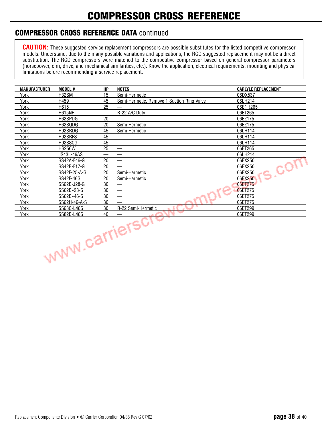## **COMPRESSOR CROSS REFERENCE**

### **COMPRESSOR CROSS REFERENCE DATA** continued

| <b>MANUFACTURER</b> | <b>MODEL#</b>     | HР | <b>NOTES</b>                               | <b>CARLYLE REPLACEMENT</b> |
|---------------------|-------------------|----|--------------------------------------------|----------------------------|
| York                | <b>H32SM</b>      | 15 | Semi-Hermetic                              | 06DX537                    |
| York                | H459              | 45 | Semi-Hermetic, Remove 1 Suction Ring Valve | 06LH214                    |
| York                | H615              | 25 |                                            | 06E()265                   |
| York                | <b>H615NF</b>     |    | R-22 A/C Duty                              | 06ET265                    |
| York                | H62SPDG           | 20 |                                            | 06EZ175                    |
| York                | H62SQDG           | 20 | Semi-Hermetic                              | 06EZ175                    |
| York                | H92SRDG           | 45 | Semi-Hermetic                              | 06LH114                    |
| York                | H92SRFS           | 45 |                                            | 06LH114                    |
| York                | H92SSCG           | 45 |                                            | 06LH114                    |
| York                | <b>HS256W</b>     | 25 |                                            | 06ET265                    |
| York                | <b>JS43L-46AS</b> |    |                                            | 06LH214                    |
| York                | SS42A-F46-G       | 20 |                                            | 06EX250                    |
| York                | SS42B-F17-G       | 20 | —                                          | 06EX250                    |
| York                | SS42F-25-A-G      | 20 | Semi-Hermetic                              | 06EX250                    |
| York                | SS42F-46G         | 20 | Semi-Hermetic                              | 06EX250                    |
| York                | SS62B-J28-G       | 30 | —                                          | 06ET275                    |
| York                | SS62B~28-S        | 30 |                                            | 06ET275                    |
| York                | SS62B~46-S        | 30 |                                            | 06ET275                    |
| York                | SS62H-46-A-S      | 30 |                                            | 06ET275                    |
| York                | SS63C-L46S        | 30 | R-22 Semi-Hermetic                         | 06ET299                    |
| York                | SS82B-L46S        | 40 |                                            | 06ET299                    |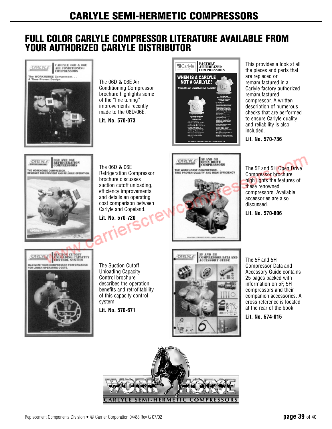### **FULL COLOR CARLYLE COMPRESSOR LITERATURE AVAILABLE FROM YOUR AUTHORIZED CARLYLE DISTRIBUTOR**



The 06D & 06E Air Conditioning Compressor brochure highlights some of the "fine tuning" improvements recently made to the 06D/06E.

**Lit. No. 570-073**



This provides a look at all the pieces and parts that are replaced or remanufactured in a Carlyle factory authorized remanufactured compressor. A written description of numerous checks that are performed to ensure Carlyle quality and reliability is also included.

**Lit. No. 570-736**



**Lit. No. 570-806**



The 06D & 06E Refrigeration Compressor brochure discusses suction cutoff unloading, efficiency improvements and details an operating cost comparison between Carlyle and Copeland.

**Lit. No. 570-720**



**5F AND 5H<br>OPEN DRIVE<br>COMPRESSORS** 

**E WORKHORSE COMPRESSOR...**<br>ME PROVEN QUALITY AND HIGH EFFICIENCY

CARLYLE

CARLYLE **INLOADING CAPACITY MAXIMIZE YOUR COMPRESSOR PERFORMANCE**<br>FOR LOWER OPERATING COSTS.

The Suction Cutoff Unloading Capacity Control brochure describes the operation, benefits and retrofitability of this capacity control system.

**Lit. No. 570-671**



The 5F and 5H Compressor Data and Accessory Guide contains 25 pages packed with information on 5F, 5H compressors and their companion accessories. A cross reference is located at the rear of the book.

**Lit. No. 574-015**